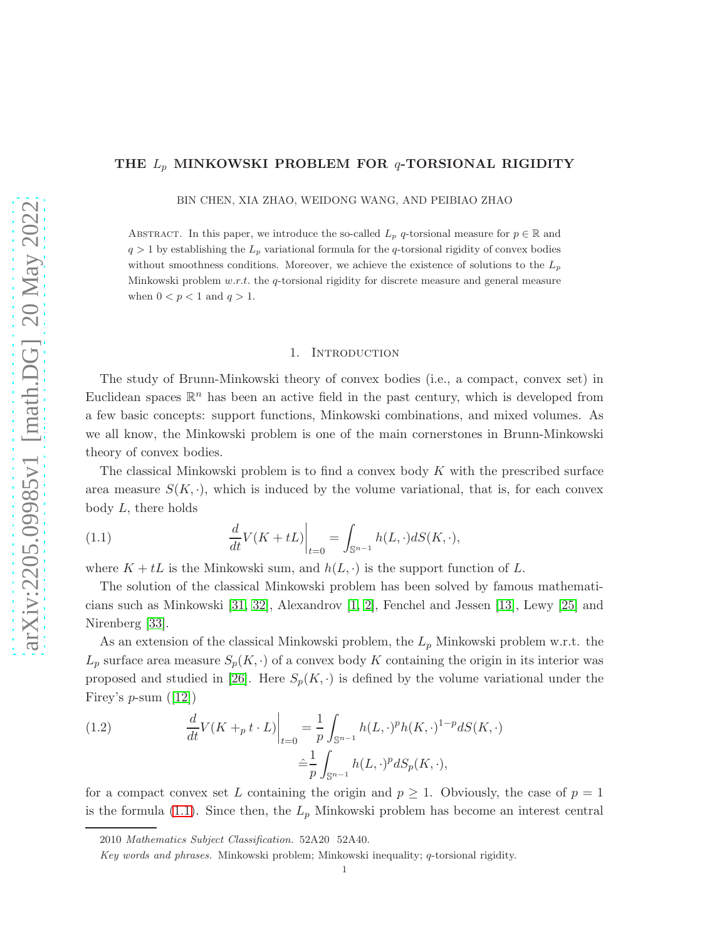# THE  $L_p$  MINKOWSKI PROBLEM FOR  $q$ -TORSIONAL RIGIDITY

BIN CHEN, XIA ZHAO, WEIDONG WANG, AND PEIBIAO ZHAO

ABSTRACT. In this paper, we introduce the so-called  $L_p$  q-torsional measure for  $p \in \mathbb{R}$  and  $q > 1$  by establishing the  $L_p$  variational formula for the q-torsional rigidity of convex bodies without smoothness conditions. Moreover, we achieve the existence of solutions to the  $L_p$ Minkowski problem  $w.r.t.$  the q-torsional rigidity for discrete measure and general measure when  $0 < p < 1$  and  $q > 1$ .

### 1. Introduction

The study of Brunn-Minkowski theory of convex bodies (i.e., a compact, convex set) in Euclidean spaces  $\mathbb{R}^n$  has been an active field in the past century, which is developed from a few basic concepts: support functions, Minkowski combinations, and mixed volumes. As we all know, the Minkowski problem is one of the main cornerstones in Brunn-Minkowski theory of convex bodies.

The classical Minkowski problem is to find a convex body  $K$  with the prescribed surface area measure  $S(K, \cdot)$ , which is induced by the volume variational, that is, for each convex body  $L$ , there holds

<span id="page-0-0"></span>(1.1) 
$$
\frac{d}{dt}V(K+tL)\Big|_{t=0} = \int_{\mathbb{S}^{n-1}} h(L,\cdot)dS(K,\cdot),
$$

where  $K + tL$  is the Minkowski sum, and  $h(L, \cdot)$  is the support function of L.

The solution of the classical Minkowski problem has been solved by famous mathematicians such as Minkowski [\[31,](#page-24-0) [32\]](#page-24-1), Alexandrov [\[1,](#page-23-0) [2\]](#page-23-1), Fenchel and Jessen [\[13\]](#page-23-2), Lewy [\[25\]](#page-24-2) and Nirenberg [\[33\]](#page-24-3).

As an extension of the classical Minkowski problem, the  $L_p$  Minkowski problem w.r.t. the  $L_p$  surface area measure  $S_p(K, \cdot)$  of a convex body K containing the origin in its interior was proposed and studied in [\[26\]](#page-24-4). Here  $S_p(K, \cdot)$  is defined by the volume variational under the Firey's  $p$ -sum ([\[12\]](#page-23-3))

(1.2) 
$$
\frac{d}{dt}V(K +_p t \cdot L)\Big|_{t=0} = \frac{1}{p} \int_{\mathbb{S}^{n-1}} h(L, \cdot)^p h(K, \cdot)^{1-p} dS(K, \cdot) \n\frac{\hat{}}{p} \int_{\mathbb{S}^{n-1}} h(L, \cdot)^p dS_p(K, \cdot),
$$

for a compact convex set L containing the origin and  $p \geq 1$ . Obviously, the case of  $p = 1$ is the formula [\(1.1\)](#page-0-0). Since then, the  $L_p$  Minkowski problem has become an interest central

<sup>2010</sup> Mathematics Subject Classification. 52A20 52A40.

Key words and phrases. Minkowski problem; Minkowski inequality; q-torsional rigidity.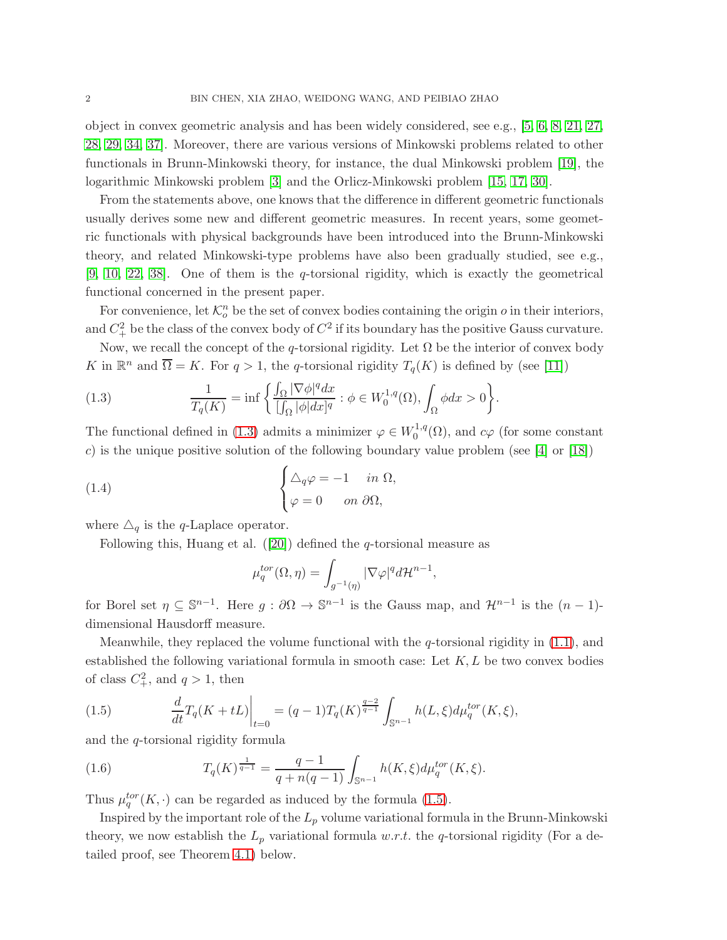object in convex geometric analysis and has been widely considered, see e.g., [\[5,](#page-23-4) [6,](#page-23-5) [8,](#page-23-6) [21,](#page-24-5) [27,](#page-24-6) [28,](#page-24-7) [29,](#page-24-8) [34,](#page-24-9) [37\]](#page-24-10). Moreover, there are various versions of Minkowski problems related to other functionals in Brunn-Minkowski theory, for instance, the dual Minkowski problem [\[19\]](#page-24-11), the logarithmic Minkowski problem [\[3\]](#page-23-7) and the Orlicz-Minkowski problem [\[15,](#page-24-12) [17,](#page-24-13) [30\]](#page-24-14).

From the statements above, one knows that the difference in different geometric functionals usually derives some new and different geometric measures. In recent years, some geometric functionals with physical backgrounds have been introduced into the Brunn-Minkowski theory, and related Minkowski-type problems have also been gradually studied, see e.g.,  $[9, 10, 22, 38]$  $[9, 10, 22, 38]$  $[9, 10, 22, 38]$  $[9, 10, 22, 38]$ . One of them is the q-torsional rigidity, which is exactly the geometrical functional concerned in the present paper.

For convenience, let  $\mathcal{K}_o^n$  be the set of convex bodies containing the origin  $o$  in their interiors, and  $C_+^2$  be the class of the convex body of  $C^2$  if its boundary has the positive Gauss curvature.

Now, we recall the concept of the q-torsional rigidity. Let  $\Omega$  be the interior of convex body K in  $\mathbb{R}^n$  and  $\overline{\Omega} = K$ . For  $q > 1$ , the q-torsional rigidity  $T_q(K)$  is defined by (see [\[11\]](#page-23-10))

<span id="page-1-0"></span>(1.3) 
$$
\frac{1}{T_q(K)} = \inf \left\{ \frac{\int_{\Omega} |\nabla \phi|^q dx}{[\int_{\Omega} |\phi| dx]^q} : \phi \in W_0^{1,q}(\Omega), \int_{\Omega} \phi dx > 0 \right\}.
$$

The functional defined in [\(1.3\)](#page-1-0) admits a minimizer  $\varphi \in W_0^{1,q}$  $_0^{\text{1,q}}(\Omega)$ , and  $c\varphi$  (for some constant c) is the unique positive solution of the following boundary value problem (see  $[4]$  or  $[18]$ )

<span id="page-1-3"></span>(1.4) 
$$
\begin{cases} \Delta_q \varphi = -1 & \text{in } \Omega, \\ \varphi = 0 & \text{on } \partial \Omega, \end{cases}
$$

where  $\Delta_q$  is the q-Laplace operator.

Following this, Huang et al.  $([20])$  $([20])$  $([20])$  defined the q-torsional measure as

$$
\mu_q^{tor}(\Omega,\eta)=\int_{g^{-1}(\eta)}|\nabla \varphi|^q d\mathcal{H}^{n-1},
$$

for Borel set  $\eta \subseteq \mathbb{S}^{n-1}$ . Here  $g : \partial \Omega \to \mathbb{S}^{n-1}$  is the Gauss map, and  $\mathcal{H}^{n-1}$  is the  $(n-1)$ dimensional Hausdorff measure.

Meanwhile, they replaced the volume functional with the *q*-torsional rigidity in  $(1.1)$ , and established the following variational formula in smooth case: Let  $K, L$  be two convex bodies of class  $C^2_+$ , and  $q > 1$ , then

<span id="page-1-1"></span>(1.5) 
$$
\frac{d}{dt}T_q(K+tL)\Big|_{t=0} = (q-1)T_q(K)^{\frac{q-2}{q-1}} \int_{\mathbb{S}^{n-1}} h(L,\xi) d\mu_q^{tor}(K,\xi),
$$

and the q-torsional rigidity formula

<span id="page-1-2"></span>(1.6) 
$$
T_q(K)^{\frac{1}{q-1}} = \frac{q-1}{q+n(q-1)} \int_{\mathbb{S}^{n-1}} h(K,\xi) d\mu_q^{tor}(K,\xi).
$$

Thus  $\mu_q^{tor}(K, \cdot)$  can be regarded as induced by the formula [\(1.5\)](#page-1-1).

Inspired by the important role of the  $L_p$  volume variational formula in the Brunn-Minkowski theory, we now establish the  $L_p$  variational formula w.r.t. the q-torsional rigidity (For a detailed proof, see Theorem [4.1\)](#page-10-0) below.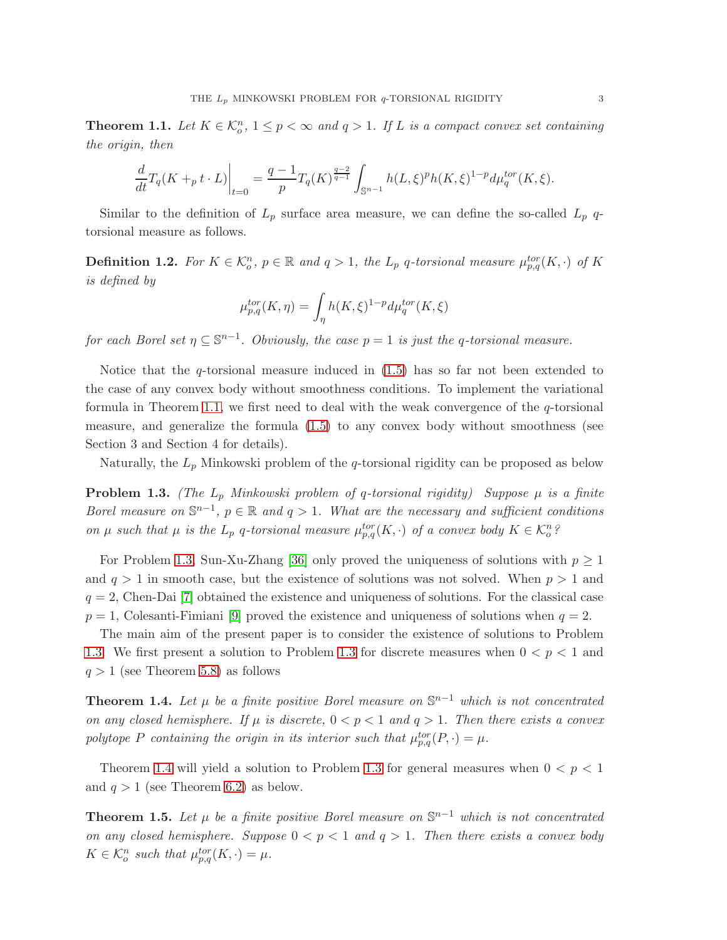<span id="page-2-0"></span>**Theorem 1.1.** Let  $K \in \mathcal{K}_o^n$ ,  $1 \leq p < \infty$  and  $q > 1$ . If L is a compact convex set containing the origin, then

$$
\frac{d}{dt}T_q(K +_p t \cdot L)\Big|_{t=0} = \frac{q-1}{p}T_q(K)^{\frac{q-2}{q-1}} \int_{\mathbb{S}^{n-1}} h(L,\xi)^p h(K,\xi)^{1-p} d\mu_q^{tor}(K,\xi).
$$

Similar to the definition of  $L_p$  surface area measure, we can define the so-called  $L_p$  qtorsional measure as follows.

**Definition 1.2.** For  $K \in \mathcal{K}_o^n$ ,  $p \in \mathbb{R}$  and  $q > 1$ , the  $L_p$  q-torsional measure  $\mu_{p,q}^{tor}(K, \cdot)$  of K is defined by

$$
\mu_{p,q}^{tor}(K,\eta)=\int_{\eta}h(K,\xi)^{1-p}d\mu_q^{tor}(K,\xi)
$$

for each Borel set  $\eta \subseteq \mathbb{S}^{n-1}$ . Obviously, the case  $p = 1$  is just the q-torsional measure.

Notice that the *q*-torsional measure induced in  $(1.5)$  has so far not been extended to the case of any convex body without smoothness conditions. To implement the variational formula in Theorem [1.1,](#page-2-0) we first need to deal with the weak convergence of the  $q$ -torsional measure, and generalize the formula [\(1.5\)](#page-1-1) to any convex body without smoothness (see Section 3 and Section 4 for details).

Naturally, the  $L_p$  Minkowski problem of the q-torsional rigidity can be proposed as below

<span id="page-2-1"></span>**Problem 1.3.** (The  $L_p$  Minkowski problem of q-torsional rigidity) Suppose  $\mu$  is a finite Borel measure on  $\mathbb{S}^{n-1}$ ,  $p \in \mathbb{R}$  and  $q > 1$ . What are the necessary and sufficient conditions on  $\mu$  such that  $\mu$  is the  $L_p$  q-torsional measure  $\mu_{p,q}^{tor}(K, \cdot)$  of a convex body  $K \in \mathcal{K}_o^n$ ?

For Problem [1.3,](#page-2-1) Sun-Xu-Zhang [\[36\]](#page-24-18) only proved the uniqueness of solutions with  $p \geq 1$ and  $q > 1$  in smooth case, but the existence of solutions was not solved. When  $p > 1$  and  $q = 2$ , Chen-Dai [\[7\]](#page-23-12) obtained the existence and uniqueness of solutions. For the classical case  $p = 1$ , Colesanti-Fimiani [\[9\]](#page-23-8) proved the existence and uniqueness of solutions when  $q = 2$ .

The main aim of the present paper is to consider the existence of solutions to Problem [1.3.](#page-2-1) We first present a solution to Problem [1.3](#page-2-1) for discrete measures when  $0 < p < 1$  and  $q > 1$  (see Theorem [5.8\)](#page-21-0) as follows

<span id="page-2-2"></span>**Theorem 1.4.** Let  $\mu$  be a finite positive Borel measure on  $\mathbb{S}^{n-1}$  which is not concentrated on any closed hemisphere. If  $\mu$  is discrete,  $0 < p < 1$  and  $q > 1$ . Then there exists a convex polytope P containing the origin in its interior such that  $\mu_{p,q}^{tor}(P, \cdot) = \mu$ .

Theorem [1.4](#page-2-2) will yield a solution to Problem [1.3](#page-2-1) for general measures when  $0 < p < 1$ and  $q > 1$  (see Theorem [6.2\)](#page-22-0) as below.

**Theorem 1.5.** Let  $\mu$  be a finite positive Borel measure on  $\mathbb{S}^{n-1}$  which is not concentrated on any closed hemisphere. Suppose  $0 < p < 1$  and  $q > 1$ . Then there exists a convex body  $K \in \mathcal{K}_o^n$  such that  $\mu_{p,q}^{tor}(K, \cdot) = \mu$ .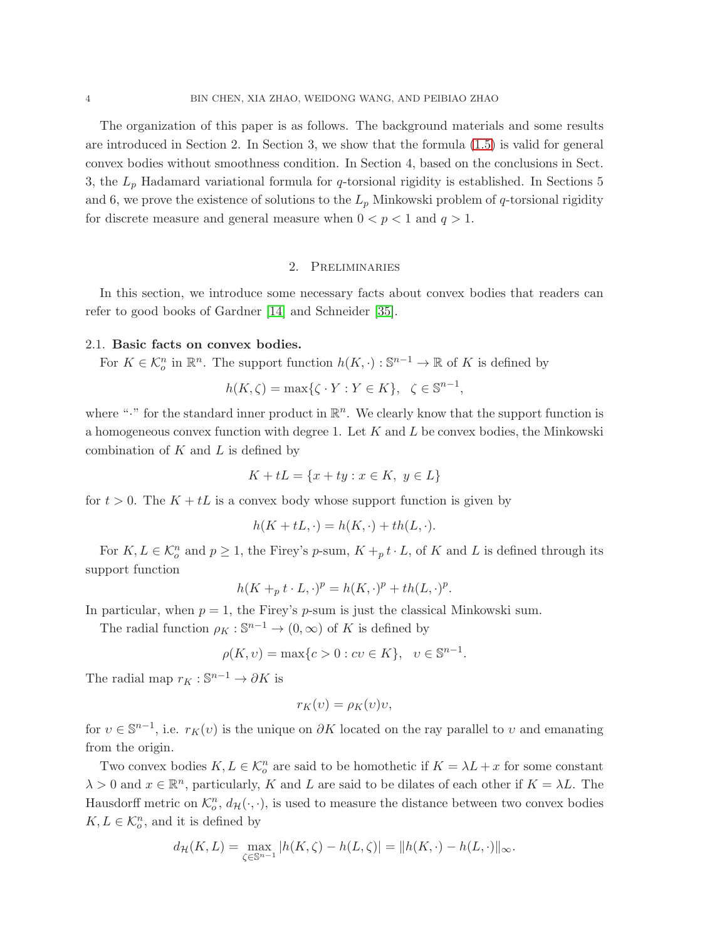The organization of this paper is as follows. The background materials and some results are introduced in Section 2. In Section 3, we show that the formula [\(1.5\)](#page-1-1) is valid for general convex bodies without smoothness condition. In Section 4, based on the conclusions in Sect. 3, the  $L_p$  Hadamard variational formula for q-torsional rigidity is established. In Sections 5 and 6, we prove the existence of solutions to the  $L_p$  Minkowski problem of q-torsional rigidity for discrete measure and general measure when  $0 < p < 1$  and  $q > 1$ .

### 2. Preliminaries

In this section, we introduce some necessary facts about convex bodies that readers can refer to good books of Gardner [\[14\]](#page-23-13) and Schneider [\[35\]](#page-24-19).

### 2.1. Basic facts on convex bodies.

For  $K \in \mathcal{K}_o^n$  in  $\mathbb{R}^n$ . The support function  $h(K, \cdot) : \mathbb{S}^{n-1} \to \mathbb{R}$  of K is defined by

$$
h(K,\zeta) = \max\{\zeta \cdot Y : Y \in K\}, \ \zeta \in \mathbb{S}^{n-1},
$$

where " $\cdot$ " for the standard inner product in  $\mathbb{R}^n$ . We clearly know that the support function is a homogeneous convex function with degree 1. Let  $K$  and  $L$  be convex bodies, the Minkowski combination of  $K$  and  $L$  is defined by

$$
K + tL = \{x + ty : x \in K, y \in L\}
$$

for  $t > 0$ . The  $K + tL$  is a convex body whose support function is given by

$$
h(K + tL, \cdot) = h(K, \cdot) + th(L, \cdot).
$$

For  $K, L \in \mathcal{K}_o^n$  and  $p \geq 1$ , the Firey's p-sum,  $K +_p t \cdot L$ , of K and L is defined through its support function

$$
h(K +_p t \cdot L, \cdot)^p = h(K, \cdot)^p + th(L, \cdot)^p.
$$

In particular, when  $p = 1$ , the Firey's p-sum is just the classical Minkowski sum.

The radial function  $\rho_K : \mathbb{S}^{n-1} \to (0, \infty)$  of K is defined by

$$
\rho(K, v) = \max\{c > 0 : cv \in K\}, \ \ v \in \mathbb{S}^{n-1}.
$$

The radial map  $r_K : \mathbb{S}^{n-1} \to \partial K$  is

$$
r_K(v) = \rho_K(v)v,
$$

for  $v \in \mathbb{S}^{n-1}$ , i.e.  $r_K(v)$  is the unique on  $\partial K$  located on the ray parallel to v and emanating from the origin.

Two convex bodies  $K, L \in \mathcal{K}_o^n$  are said to be homothetic if  $K = \lambda L + x$  for some constant  $\lambda > 0$  and  $x \in \mathbb{R}^n$ , particularly, K and L are said to be dilates of each other if  $K = \lambda L$ . The Hausdorff metric on  $\mathcal{K}_o^n$ ,  $d_{\mathcal{H}}(\cdot, \cdot)$ , is used to measure the distance between two convex bodies  $K, L \in \mathcal{K}_o^n$ , and it is defined by

$$
d_{\mathcal{H}}(K,L) = \max_{\zeta \in \mathbb{S}^{n-1}} |h(K,\zeta) - h(L,\zeta)| = ||h(K,\cdot) - h(L,\cdot)||_{\infty}.
$$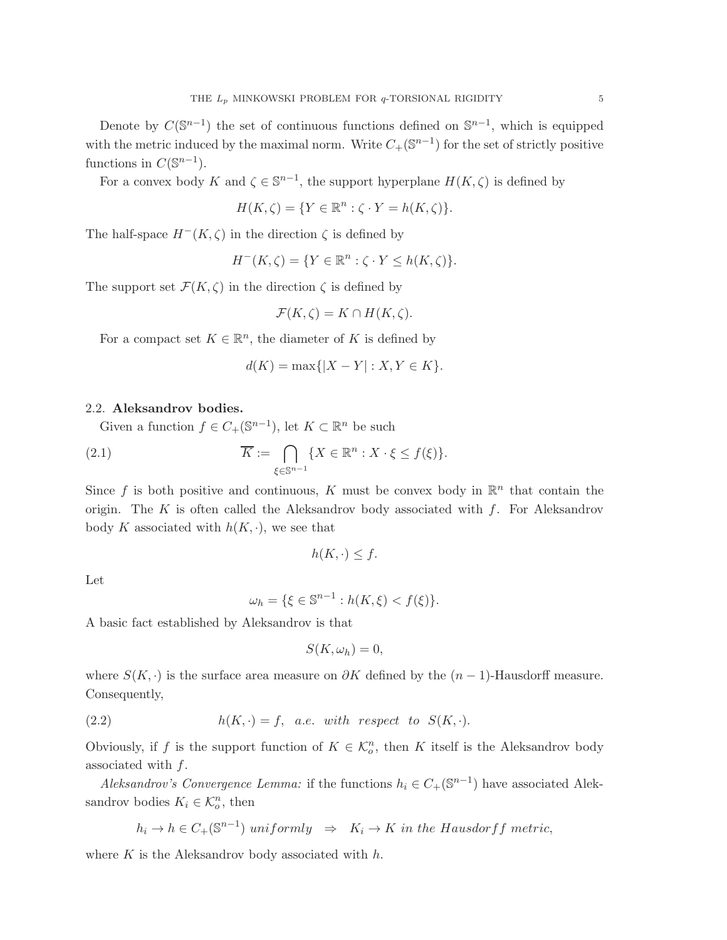Denote by  $C(\mathbb{S}^{n-1})$  the set of continuous functions defined on  $\mathbb{S}^{n-1}$ , which is equipped with the metric induced by the maximal norm. Write  $C_{+}(\mathbb{S}^{n-1})$  for the set of strictly positive functions in  $C(\mathbb{S}^{n-1})$ .

For a convex body K and  $\zeta \in \mathbb{S}^{n-1}$ , the support hyperplane  $H(K,\zeta)$  is defined by

$$
H(K,\zeta) = \{ Y \in \mathbb{R}^n : \zeta \cdot Y = h(K,\zeta) \}.
$$

The half-space  $H^-(K,\zeta)$  in the direction  $\zeta$  is defined by

$$
H^-(K,\zeta) = \{ Y \in \mathbb{R}^n : \zeta \cdot Y \le h(K,\zeta) \}.
$$

The support set  $\mathcal{F}(K,\zeta)$  in the direction  $\zeta$  is defined by

$$
\mathcal{F}(K,\zeta) = K \cap H(K,\zeta).
$$

For a compact set  $K \in \mathbb{R}^n$ , the diameter of K is defined by

$$
d(K) = \max\{|X - Y| : X, Y \in K\}.
$$

### 2.2. Aleksandrov bodies.

Given a function  $f \in C_+(\mathbb{S}^{n-1})$ , let  $K \subset \mathbb{R}^n$  be such

(2.1) 
$$
\overline{K} := \bigcap_{\xi \in \mathbb{S}^{n-1}} \{ X \in \mathbb{R}^n : X \cdot \xi \le f(\xi) \}.
$$

Since f is both positive and continuous, K must be convex body in  $\mathbb{R}^n$  that contain the origin. The K is often called the Aleksandrov body associated with  $f$ . For Aleksandrov body K associated with  $h(K, \cdot)$ , we see that

$$
h(K, \cdot) \leq f.
$$

Let

$$
\omega_h = \{ \xi \in \mathbb{S}^{n-1} : h(K, \xi) < f(\xi) \}.
$$

A basic fact established by Aleksandrov is that

$$
S(K,\omega_h)=0,
$$

where  $S(K, \cdot)$  is the surface area measure on  $\partial K$  defined by the  $(n-1)$ -Hausdorff measure. Consequently,

<span id="page-4-0"></span>(2.2) 
$$
h(K, \cdot) = f, \quad a.e. \quad with \quad respect \quad to \quad S(K, \cdot).
$$

Obviously, if f is the support function of  $K \in \mathcal{K}_o^n$ , then K itself is the Aleksandrov body associated with  $f$ .

Aleksandrov's Convergence Lemma: if the functions  $h_i \in C_+(\mathbb{S}^{n-1})$  have associated Aleksandrov bodies  $K_i \in \mathcal{K}_o^n$ , then

$$
h_i \to h \in C_+(\mathbb{S}^{n-1}) \; uniformly \;\; \Rightarrow \;\; K_i \to K \; in \; the \; Hausdorff \; metric,
$$

where  $K$  is the Aleksandrov body associated with  $h$ .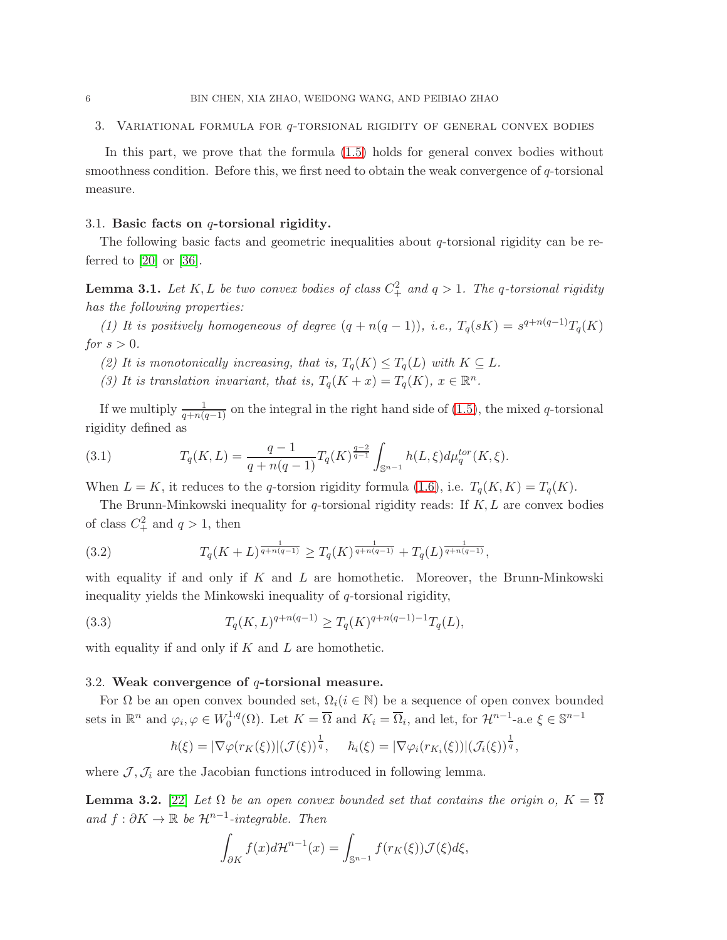### 3. Variational formula for q-torsional rigidity of general convex bodies

In this part, we prove that the formula [\(1.5\)](#page-1-1) holds for general convex bodies without smoothness condition. Before this, we first need to obtain the weak convergence of  $q$ -torsional measure.

### 3.1. Basic facts on  $q$ -torsional rigidity.

The following basic facts and geometric inequalities about  $q$ -torsional rigidity can be referred to  $[20]$  or  $[36]$ .

**Lemma 3.1.** Let K, L be two convex bodies of class  $C^2_+$  and  $q > 1$ . The q-torsional rigidity has the following properties:

(1) It is positively homogeneous of degree  $(q + n(q - 1))$ , i.e.,  $T_q(sK) = s^{q+n(q-1)}T_q(K)$ for  $s > 0$ .

- (2) It is monotonically increasing, that is,  $T_q(K) \leq T_q(L)$  with  $K \subseteq L$ .
- (3) It is translation invariant, that is,  $T_q(K+x) = T_q(K)$ ,  $x \in \mathbb{R}^n$ .

If we multiply  $\frac{1}{q+n(q-1)}$  on the integral in the right hand side of [\(1.5\)](#page-1-1), the mixed q-torsional rigidity defined as

<span id="page-5-1"></span>(3.1) 
$$
T_q(K,L) = \frac{q-1}{q+n(q-1)} T_q(K)^{\frac{q-2}{q-1}} \int_{\mathbb{S}^{n-1}} h(L,\xi) d\mu_q^{tor}(K,\xi).
$$

When  $L = K$ , it reduces to the q-torsion rigidity formula [\(1.6\)](#page-1-2), i.e.  $T_q(K, K) = T_q(K)$ .

The Brunn-Minkowski inequality for q-torsional rigidity reads: If  $K, L$  are convex bodies of class  $C_+^2$  and  $q > 1$ , then

(3.2) 
$$
T_q(K+L)^{\frac{1}{q+n(q-1)}} \geq T_q(K)^{\frac{1}{q+n(q-1)}} + T_q(L)^{\frac{1}{q+n(q-1)}},
$$

with equality if and only if  $K$  and  $L$  are homothetic. Moreover, the Brunn-Minkowski inequality yields the Minkowski inequality of q-torsional rigidity,

<span id="page-5-2"></span>(3.3) 
$$
T_q(K,L)^{q+n(q-1)} \ge T_q(K)^{q+n(q-1)-1} T_q(L),
$$

with equality if and only if  $K$  and  $L$  are homothetic.

### 3.2. Weak convergence of  $q$ -torsional measure.

For  $\Omega$  be an open convex bounded set,  $\Omega_i(i \in \mathbb{N})$  be a sequence of open convex bounded sets in  $\mathbb{R}^n$  and  $\varphi_i, \varphi \in W_0^{1,q}$ <sup>1,q</sup>( $\Omega$ ). Let  $K = \overline{\Omega}$  and  $K_i = \overline{\Omega}_i$ , and let, for  $\mathcal{H}^{n-1}$ -a.e  $\xi \in \mathbb{S}^{n-1}$ 

$$
\hbar(\xi) = |\nabla \varphi(r_K(\xi))|(\mathcal{J}(\xi))^{\frac{1}{q}}, \quad \bar{h}_i(\xi) = |\nabla \varphi_i(r_{K_i}(\xi))|(\mathcal{J}_i(\xi))^{\frac{1}{q}},
$$

where  $\mathcal{J}, \mathcal{J}_i$  are the Jacobian functions introduced in following lemma.

<span id="page-5-0"></span>**Lemma 3.2.** [\[22\]](#page-24-15) Let  $\Omega$  be an open convex bounded set that contains the origin o,  $K = \overline{\Omega}$ and  $f : \partial K \to \mathbb{R}$  be  $\mathcal{H}^{n-1}$ -integrable. Then

$$
\int_{\partial K} f(x)d\mathcal{H}^{n-1}(x) = \int_{\mathbb{S}^{n-1}} f(r_K(\xi))\mathcal{J}(\xi)d\xi,
$$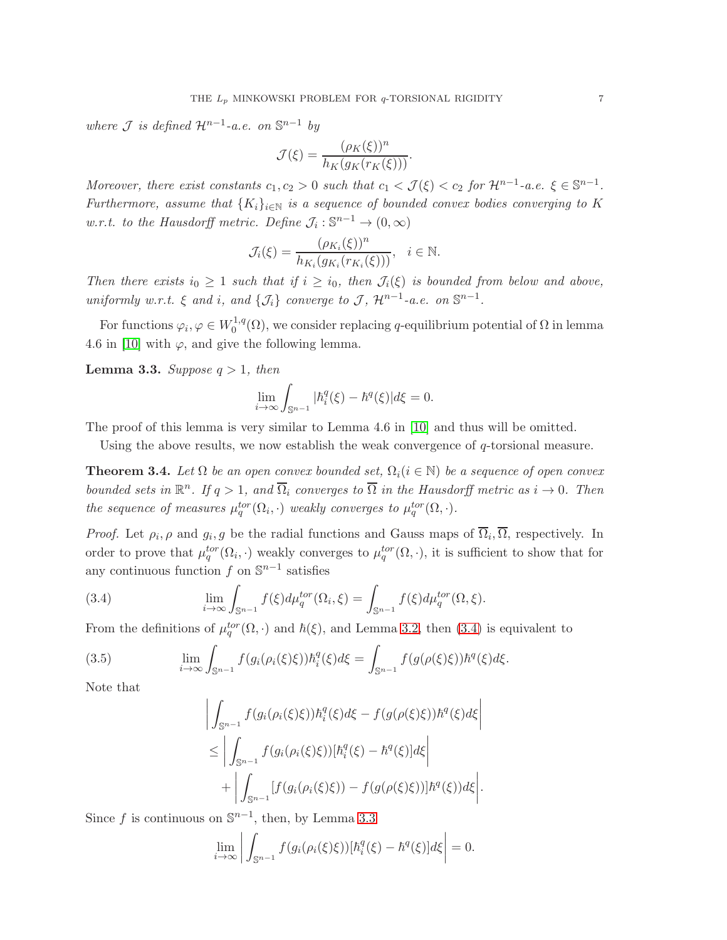where  $\mathcal J$  is defined  $\mathcal H^{n-1}$ -a.e. on  $\mathbb S^{n-1}$  by

$$
\mathcal{J}(\xi) = \frac{(\rho_K(\xi))^n}{h_K(g_K(r_K(\xi)))}.
$$

Moreover, there exist constants  $c_1, c_2 > 0$  such that  $c_1 < \mathcal{J}(\xi) < c_2$  for  $\mathcal{H}^{n-1}$ -a.e.  $\xi \in \mathbb{S}^{n-1}$ . Furthermore, assume that  $\{K_i\}_{i\in\mathbb{N}}$  is a sequence of bounded convex bodies converging to K w.r.t. to the Hausdorff metric. Define  $\mathcal{J}_i : \mathbb{S}^{n-1} \to (0, \infty)$ 

$$
\mathcal{J}_i(\xi) = \frac{(\rho_{K_i}(\xi))^n}{h_{K_i}(g_{K_i}(r_{K_i}(\xi)))}, \quad i \in \mathbb{N}.
$$

Then there exists  $i_0 \geq 1$  such that if  $i \geq i_0$ , then  $\mathcal{J}_i(\xi)$  is bounded from below and above, uniformly w.r.t.  $\xi$  and i, and  $\{\mathcal{J}_i\}$  converge to  $\mathcal{J}$ ,  $\mathcal{H}^{n-1}$ -a.e. on  $\mathbb{S}^{n-1}$ .

For functions  $\varphi_i, \varphi \in W_0^{1,q}$  $\int_0^{1,q}(\Omega)$ , we consider replacing q-equilibrium potential of  $\Omega$  in lemma 4.6 in [\[10\]](#page-23-9) with  $\varphi$ , and give the following lemma.

<span id="page-6-1"></span>**Lemma 3.3.** Suppose  $q > 1$ , then

$$
\lim_{i \to \infty} \int_{\mathbb{S}^{n-1}} |h_i^q(\xi) - \hbar^q(\xi)| d\xi = 0.
$$

The proof of this lemma is very similar to Lemma 4.6 in [\[10\]](#page-23-9) and thus will be omitted.

Using the above results, we now establish the weak convergence of  $q$ -torsional measure.

<span id="page-6-3"></span>**Theorem 3.4.** Let  $\Omega$  be an open convex bounded set,  $\Omega_i(i \in \mathbb{N})$  be a sequence of open convex bounded sets in  $\mathbb{R}^n$ . If  $q > 1$ , and  $\overline{\Omega}_i$  converges to  $\overline{\Omega}$  in the Hausdorff metric as  $i \to 0$ . Then the sequence of measures  $\mu_q^{tor}(\Omega_i, \cdot)$  weakly converges to  $\mu_q^{tor}(\Omega, \cdot)$ .

*Proof.* Let  $\rho_i$ ,  $\rho$  and  $g_i$ ,  $g$  be the radial functions and Gauss maps of  $\Omega_i$ ,  $\Omega$ , respectively. In order to prove that  $\mu_q^{tor}(\Omega_i, \cdot)$  weakly converges to  $\mu_q^{tor}(\Omega, \cdot)$ , it is sufficient to show that for any continuous function  $f$  on  $\mathbb{S}^{n-1}$  satisfies

<span id="page-6-0"></span>(3.4) 
$$
\lim_{i \to \infty} \int_{\mathbb{S}^{n-1}} f(\xi) d\mu_q^{tor}(\Omega_i, \xi) = \int_{\mathbb{S}^{n-1}} f(\xi) d\mu_q^{tor}(\Omega, \xi).
$$

From the definitions of  $\mu_q^{tor}(\Omega, \cdot)$  and  $\hbar(\xi)$ , and Lemma [3.2,](#page-5-0) then [\(3.4\)](#page-6-0) is equivalent to

<span id="page-6-2"></span>(3.5) 
$$
\lim_{i \to \infty} \int_{\mathbb{S}^{n-1}} f(g_i(\rho_i(\xi)\xi)) \hbar_i^q(\xi) d\xi = \int_{\mathbb{S}^{n-1}} f(g(\rho(\xi)\xi)) \hbar^q(\xi) d\xi.
$$

Note that

$$
\left| \int_{\mathbb{S}^{n-1}} f(g_i(\rho_i(\xi)\xi)) \hbar_i^q(\xi) d\xi - f(g(\rho(\xi)\xi)) \hbar^q(\xi) d\xi \right|
$$
  

$$
\leq \left| \int_{\mathbb{S}^{n-1}} f(g_i(\rho_i(\xi)\xi)) [\hbar_i^q(\xi) - \hbar^q(\xi)] d\xi \right|
$$
  

$$
+ \left| \int_{\mathbb{S}^{n-1}} [f(g_i(\rho_i(\xi)\xi)) - f(g(\rho(\xi)\xi))] \hbar^q(\xi)) d\xi \right|.
$$

Since f is continuous on  $\mathbb{S}^{n-1}$ , then, by Lemma [3.3](#page-6-1)

$$
\lim_{i \to \infty} \left| \int_{\mathbb{S}^{n-1}} f(g_i(\rho_i(\xi)\xi))[\hbar_i^q(\xi) - \hbar^q(\xi)]d\xi \right| = 0.
$$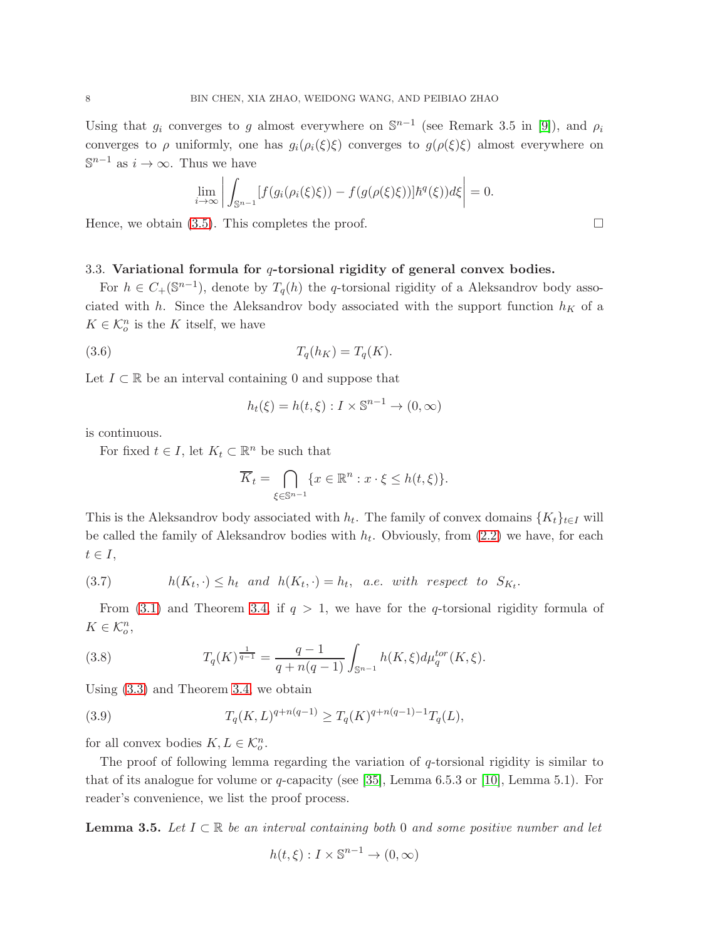Using that  $g_i$  converges to g almost everywhere on  $\mathbb{S}^{n-1}$  (see Remark 3.5 in [\[9\]](#page-23-8)), and  $\rho_i$ converges to  $\rho$  uniformly, one has  $g_i(\rho_i(\xi)\xi)$  converges to  $g(\rho(\xi)\xi)$  almost everywhere on  $\mathbb{S}^{n-1}$  as  $i \to \infty$ . Thus we have

$$
\lim_{i \to \infty} \left| \int_{\mathbb{S}^{n-1}} [f(g_i(\rho_i(\xi)\xi)) - f(g(\rho(\xi)\xi))] \hbar^q(\xi)) d\xi \right| = 0.
$$

Hence, we obtain [\(3.5\)](#page-6-2). This completes the proof.  $\Box$ 

### 3.3. Variational formula for  $q$ -torsional rigidity of general convex bodies.

For  $h \in C_+(\mathbb{S}^{n-1})$ , denote by  $T_q(h)$  the q-torsional rigidity of a Aleksandrov body associated with h. Since the Aleksandrov body associated with the support function  $h_K$  of a  $K \in \mathcal{K}_o^n$  is the K itself, we have

$$
(3.6) \t\t T_q(h_K) = T_q(K).
$$

Let  $I \subset \mathbb{R}$  be an interval containing 0 and suppose that

$$
h_t(\xi) = h(t,\xi) : I \times \mathbb{S}^{n-1} \to (0,\infty)
$$

is continuous.

For fixed  $t \in I$ , let  $K_t \subset \mathbb{R}^n$  be such that

$$
\overline{K}_t = \bigcap_{\xi \in \mathbb{S}^{n-1}} \{ x \in \mathbb{R}^n : x \cdot \xi \le h(t, \xi) \}.
$$

This is the Aleksandrov body associated with  $h_t$ . The family of convex domains  $\{K_t\}_{t\in I}$  will be called the family of Aleksandrov bodies with  $h_t$ . Obviously, from  $(2.2)$  we have, for each  $t \in I$ ,

<span id="page-7-0"></span>(3.7) 
$$
h(K_t, \cdot) \leq h_t \text{ and } h(K_t, \cdot) = h_t, \text{ a.e. with respect to } S_{K_t}.
$$

From [\(3.1\)](#page-5-1) and Theorem [3.4,](#page-6-3) if  $q > 1$ , we have for the q-torsional rigidity formula of  $K \in \mathcal{K}_o^n$ ,

<span id="page-7-1"></span>(3.8) 
$$
T_q(K)^{\frac{1}{q-1}} = \frac{q-1}{q+n(q-1)} \int_{\mathbb{S}^{n-1}} h(K,\xi) d\mu_q^{tor}(K,\xi).
$$

Using [\(3.3\)](#page-5-2) and Theorem [3.4,](#page-6-3) we obtain

<span id="page-7-2"></span>(3.9) 
$$
T_q(K,L)^{q+n(q-1)} \ge T_q(K)^{q+n(q-1)-1} T_q(L),
$$

for all convex bodies  $K, L \in \mathcal{K}_o^n$ .

The proof of following lemma regarding the variation of  $q$ -torsional rigidity is similar to that of its analogue for volume or q-capacity (see [\[35\]](#page-24-19), Lemma 6.5.3 or [\[10\]](#page-23-9), Lemma 5.1). For reader's convenience, we list the proof process.

<span id="page-7-3"></span>**Lemma 3.5.** Let  $I \subset \mathbb{R}$  be an interval containing both 0 and some positive number and let

$$
h(t,\xi): I \times \mathbb{S}^{n-1} \to (0,\infty)
$$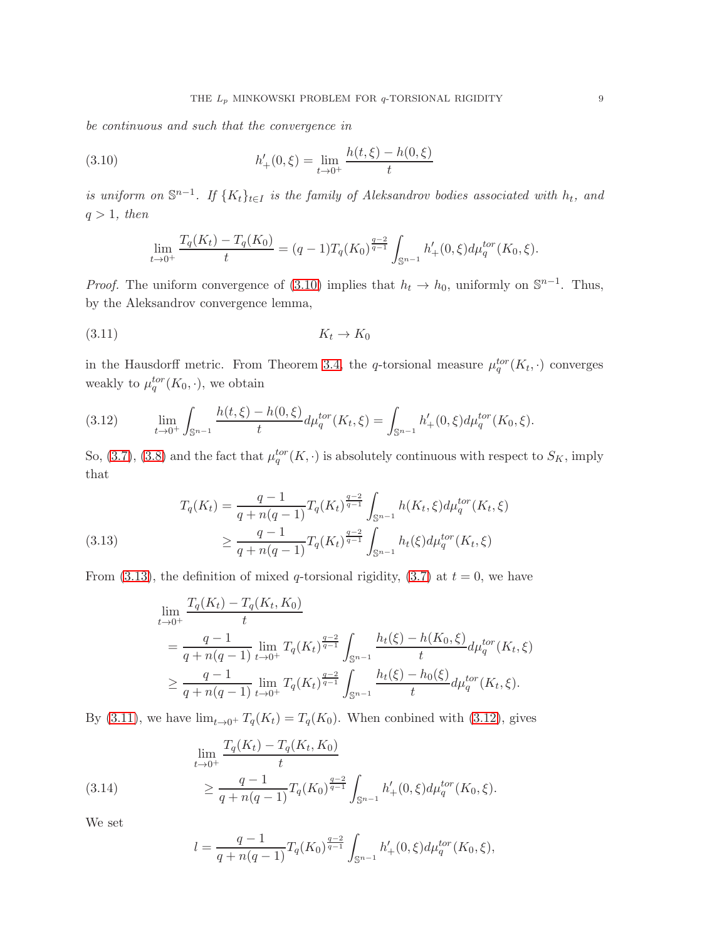be continuous and such that the convergence in

<span id="page-8-0"></span>(3.10) 
$$
h'_{+}(0,\xi) = \lim_{t \to 0^{+}} \frac{h(t,\xi) - h(0,\xi)}{t}
$$

is uniform on  $\mathbb{S}^{n-1}$ . If  $\{K_t\}_{t\in I}$  is the family of Aleksandrov bodies associated with  $h_t$ , and  $q > 1$ , then

$$
\lim_{t \to 0^+} \frac{T_q(K_t) - T_q(K_0)}{t} = (q-1)T_q(K_0)^{\frac{q-2}{q-1}} \int_{\mathbb{S}^{n-1}} h'_+(0,\xi) d\mu_q^{tor}(K_0,\xi).
$$

*Proof.* The uniform convergence of [\(3.10\)](#page-8-0) implies that  $h_t \to h_0$ , uniformly on  $\mathbb{S}^{n-1}$ . Thus, by the Aleksandrov convergence lemma,

<span id="page-8-2"></span>
$$
(3.11) \t K_t \to K_0
$$

in the Hausdorff metric. From Theorem [3.4,](#page-6-3) the q-torsional measure  $\mu_q^{tor}(K_t, \cdot)$  converges weakly to  $\mu_q^{tor}(K_0,\cdot)$ , we obtain

<span id="page-8-3"></span>(3.12) 
$$
\lim_{t \to 0^+} \int_{\mathbb{S}^{n-1}} \frac{h(t,\xi) - h(0,\xi)}{t} d\mu_q^{tor}(K_t,\xi) = \int_{\mathbb{S}^{n-1}} h'_+(0,\xi) d\mu_q^{tor}(K_0,\xi).
$$

So, [\(3.7\)](#page-7-0), [\(3.8\)](#page-7-1) and the fact that  $\mu_q^{tor}(K, \cdot)$  is absolutely continuous with respect to  $S_K$ , imply that

<span id="page-8-1"></span>(3.13) 
$$
T_q(K_t) = \frac{q-1}{q+n(q-1)} T_q(K_t)^{\frac{q-2}{q-1}} \int_{\mathbb{S}^{n-1}} h(K_t, \xi) d\mu_q^{tor}(K_t, \xi)
$$

$$
\geq \frac{q-1}{q+n(q-1)} T_q(K_t)^{\frac{q-2}{q-1}} \int_{\mathbb{S}^{n-1}} h_t(\xi) d\mu_q^{tor}(K_t, \xi)
$$

From [\(3.13\)](#page-8-1), the definition of mixed q-torsional rigidity, [\(3.7\)](#page-7-0) at  $t = 0$ , we have

$$
\lim_{t \to 0^{+}} \frac{T_q(K_t) - T_q(K_t, K_0)}{t}
$$
\n
$$
= \frac{q - 1}{q + n(q - 1)} \lim_{t \to 0^{+}} T_q(K_t)^{\frac{q - 2}{q - 1}} \int_{\mathbb{S}^{n-1}} \frac{h_t(\xi) - h(K_0, \xi)}{t} d\mu_q^{tor}(K_t, \xi)
$$
\n
$$
\geq \frac{q - 1}{q + n(q - 1)} \lim_{t \to 0^{+}} T_q(K_t)^{\frac{q - 2}{q - 1}} \int_{\mathbb{S}^{n-1}} \frac{h_t(\xi) - h_0(\xi)}{t} d\mu_q^{tor}(K_t, \xi).
$$

By [\(3.11\)](#page-8-2), we have  $\lim_{t\to 0^+} T_q(K_t) = T_q(K_0)$ . When conbined with [\(3.12\)](#page-8-3), gives

<span id="page-8-4"></span>(3.14) 
$$
\lim_{t \to 0^+} \frac{T_q(K_t) - T_q(K_t, K_0)}{t} \ge \frac{q - 1}{q + n(q - 1)} T_q(K_0)^{\frac{q - 2}{q - 1}} \int_{\mathbb{S}^{n - 1}} h'_+(0, \xi) d\mu_q^{tor}(K_0, \xi).
$$

We set

$$
l = \frac{q-1}{q+n(q-1)} T_q(K_0)^{\frac{q-2}{q-1}} \int_{\mathbb{S}^{n-1}} h'_+(0,\xi) d\mu_q^{tor}(K_0,\xi),
$$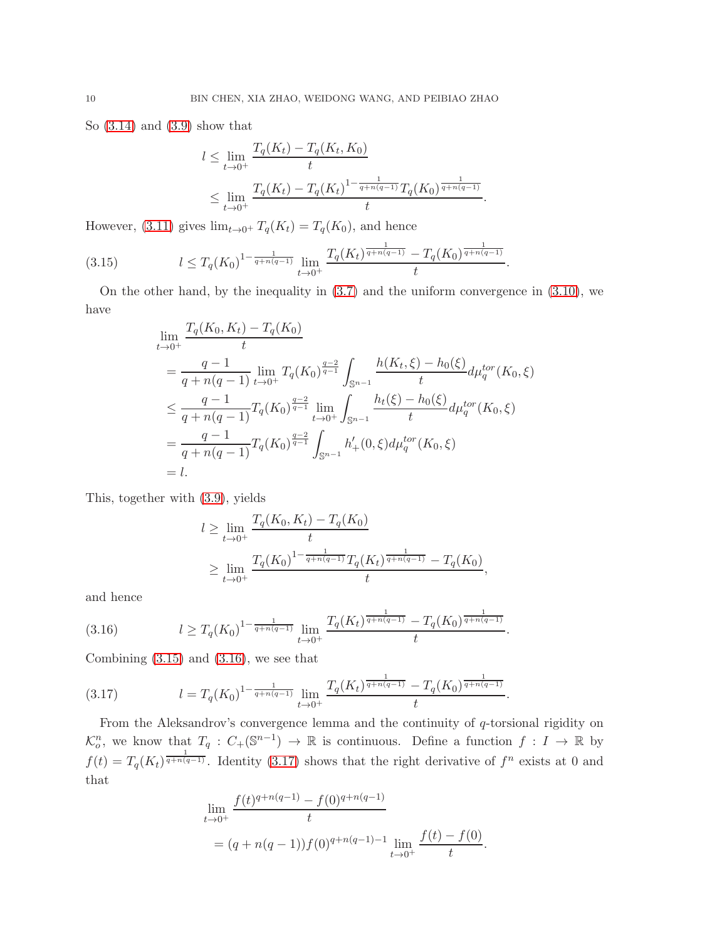So [\(3.14\)](#page-8-4) and [\(3.9\)](#page-7-2) show that

$$
l \leq \lim_{t \to 0^+} \frac{T_q(K_t) - T_q(K_t, K_0)}{t}
$$
  
 
$$
\leq \lim_{t \to 0^+} \frac{T_q(K_t) - T_q(K_t)^{1 - \frac{1}{q + n(q-1)}} T_q(K_0)^{\frac{1}{q + n(q-1)}}}{t}.
$$

However, [\(3.11\)](#page-8-2) gives  $\lim_{t\to 0^+} T_q(K_t) = T_q(K_0)$ , and hence

<span id="page-9-0"></span>
$$
(3.15) \t\t l \le T_q(K_0)^{1-\frac{1}{q+n(q-1)}} \lim_{t \to 0^+} \frac{T_q(K_t)^{\frac{1}{q+n(q-1)}} - T_q(K_0)^{\frac{1}{q+n(q-1)}}}{t}.
$$

On the other hand, by the inequality in [\(3.7\)](#page-7-0) and the uniform convergence in [\(3.10\)](#page-8-0), we have

$$
\lim_{t \to 0^{+}} \frac{T_q(K_0, K_t) - T_q(K_0)}{t}
$$
\n
$$
= \frac{q-1}{q + n(q-1)} \lim_{t \to 0^{+}} T_q(K_0)^{\frac{q-2}{q-1}} \int_{\mathbb{S}^{n-1}} \frac{h(K_t, \xi) - h_0(\xi)}{t} d\mu_q^{tor}(K_0, \xi)
$$
\n
$$
\leq \frac{q-1}{q + n(q-1)} T_q(K_0)^{\frac{q-2}{q-1}} \lim_{t \to 0^{+}} \int_{\mathbb{S}^{n-1}} \frac{h_t(\xi) - h_0(\xi)}{t} d\mu_q^{tor}(K_0, \xi)
$$
\n
$$
= \frac{q-1}{q + n(q-1)} T_q(K_0)^{\frac{q-2}{q-1}} \int_{\mathbb{S}^{n-1}} h'_+(0, \xi) d\mu_q^{tor}(K_0, \xi)
$$
\n
$$
= l.
$$

This, together with [\(3.9\)](#page-7-2), yields

$$
l \ge \lim_{t \to 0^+} \frac{T_q(K_0, K_t) - T_q(K_0)}{t}
$$
  
 
$$
\ge \lim_{t \to 0^+} \frac{T_q(K_0)^{1 - \frac{1}{q + n(q-1)}} T_q(K_t)^{\frac{1}{q + n(q-1)}} - T_q(K_0)}{t},
$$

and hence

<span id="page-9-1"></span>
$$
(3.16) \t\t l \ge T_q(K_0)^{1-\frac{1}{q+n(q-1)}} \lim_{t \to 0^+} \frac{T_q(K_t)^{\frac{1}{q+n(q-1)}} - T_q(K_0)^{\frac{1}{q+n(q-1)}}}{t}.
$$

Combining [\(3.15\)](#page-9-0) and [\(3.16\)](#page-9-1), we see that

<span id="page-9-2"></span>(3.17) 
$$
l = T_q(K_0)^{1 - \frac{1}{q + n(q-1)}} \lim_{t \to 0^+} \frac{T_q(K_t)^{\frac{1}{q + n(q-1)}} - T_q(K_0)^{\frac{1}{q + n(q-1)}}}{t}.
$$

From the Aleksandrov's convergence lemma and the continuity of q-torsional rigidity on  $\mathcal{K}_o^n$ , we know that  $T_q: C_+(\mathbb{S}^{n-1}) \to \mathbb{R}$  is continuous. Define a function  $f: I \to \mathbb{R}$  by  $f(t) = T_q(K_t)^{\frac{1}{q+n(q-1)}}$ . Identity [\(3.17\)](#page-9-2) shows that the right derivative of  $f^n$  exists at 0 and that

$$
\lim_{t \to 0^+} \frac{f(t)^{q+n(q-1)} - f(0)^{q+n(q-1)}}{t}
$$
\n
$$
= (q + n(q-1))f(0)^{q+n(q-1)-1} \lim_{t \to 0^+} \frac{f(t) - f(0)}{t}.
$$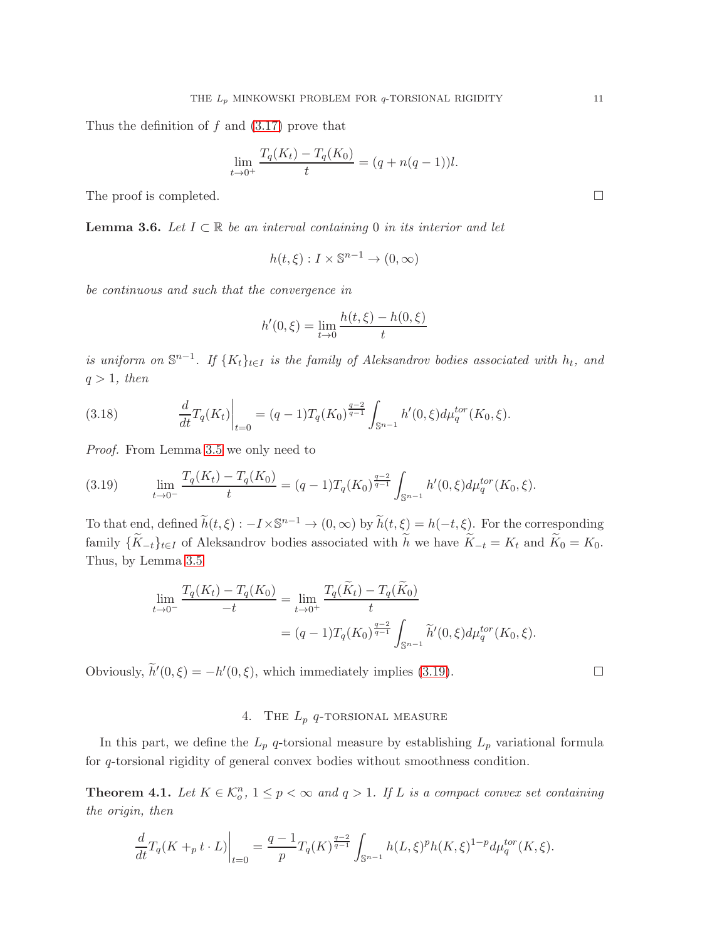Thus the definition of  $f$  and  $(3.17)$  prove that

$$
\lim_{t \to 0^+} \frac{T_q(K_t) - T_q(K_0)}{t} = (q + n(q - 1))l.
$$

The proof is completed.  $\Box$ 

<span id="page-10-2"></span>**Lemma 3.6.** Let  $I \subset \mathbb{R}$  be an interval containing 0 in its interior and let

$$
h(t,\xi): I \times \mathbb{S}^{n-1} \to (0,\infty)
$$

be continuous and such that the convergence in

$$
h'(0,\xi) = \lim_{t \to 0} \frac{h(t,\xi) - h(0,\xi)}{t}
$$

is uniform on  $\mathbb{S}^{n-1}$ . If  $\{K_t\}_{t\in I}$  is the family of Aleksandrov bodies associated with  $h_t$ , and  $q > 1$ , then

<span id="page-10-3"></span>(3.18) 
$$
\frac{d}{dt}T_q(K_t)\Big|_{t=0} = (q-1)T_q(K_0)^{\frac{q-2}{q-1}} \int_{\mathbb{S}^{n-1}} h'(0,\xi) d\mu_q^{tor}(K_0,\xi).
$$

Proof. From Lemma [3.5](#page-7-3) we only need to

<span id="page-10-1"></span>(3.19) 
$$
\lim_{t \to 0^-} \frac{T_q(K_t) - T_q(K_0)}{t} = (q-1)T_q(K_0)^{\frac{q-2}{q-1}} \int_{\mathbb{S}^{n-1}} h'(0,\xi) d\mu_q^{tor}(K_0,\xi).
$$

To that end, defined  $\widetilde{h}(t,\xi) : -I \times \mathbb{S}^{n-1} \to (0,\infty)$  by  $\widetilde{h}(t,\xi) = h(-t,\xi)$ . For the corresponding family  $\{K_{-t}\}_{t\in I}$  of Aleksandrov bodies associated with  $\tilde{h}$  we have  $\tilde{K}_{-t} = K_t$  and  $\tilde{K}_0 = K_0$ . Thus, by Lemma [3.5](#page-7-3)

$$
\lim_{t \to 0^{-}} \frac{T_q(K_t) - T_q(K_0)}{-t} = \lim_{t \to 0^{+}} \frac{T_q(\widetilde{K}_t) - T_q(\widetilde{K}_0)}{t}
$$

$$
= (q - 1)T_q(K_0)^{\frac{q-2}{q-1}} \int_{\mathbb{S}^{n-1}} \widetilde{h}'(0, \xi) d\mu_q^{tor}(K_0, \xi).
$$

Obviously,  $\widetilde{h}'(0,\xi) = -h'(0,\xi)$ , which immediately implies [\(3.19\)](#page-10-1).

# 4. THE  $L_p$  q-TORSIONAL MEASURE

In this part, we define the  $L_p$  q-torsional measure by establishing  $L_p$  variational formula for q-torsional rigidity of general convex bodies without smoothness condition.

<span id="page-10-0"></span>**Theorem 4.1.** Let  $K \in \mathcal{K}_o^n$ ,  $1 \leq p < \infty$  and  $q > 1$ . If L is a compact convex set containing the origin, then

$$
\frac{d}{dt}T_q(K+_p t \cdot L)\bigg|_{t=0} = \frac{q-1}{p}T_q(K)^{\frac{q-2}{q-1}}\int_{\mathbb{S}^{n-1}} h(L,\xi)^p h(K,\xi)^{1-p} d\mu_q^{tor}(K,\xi).
$$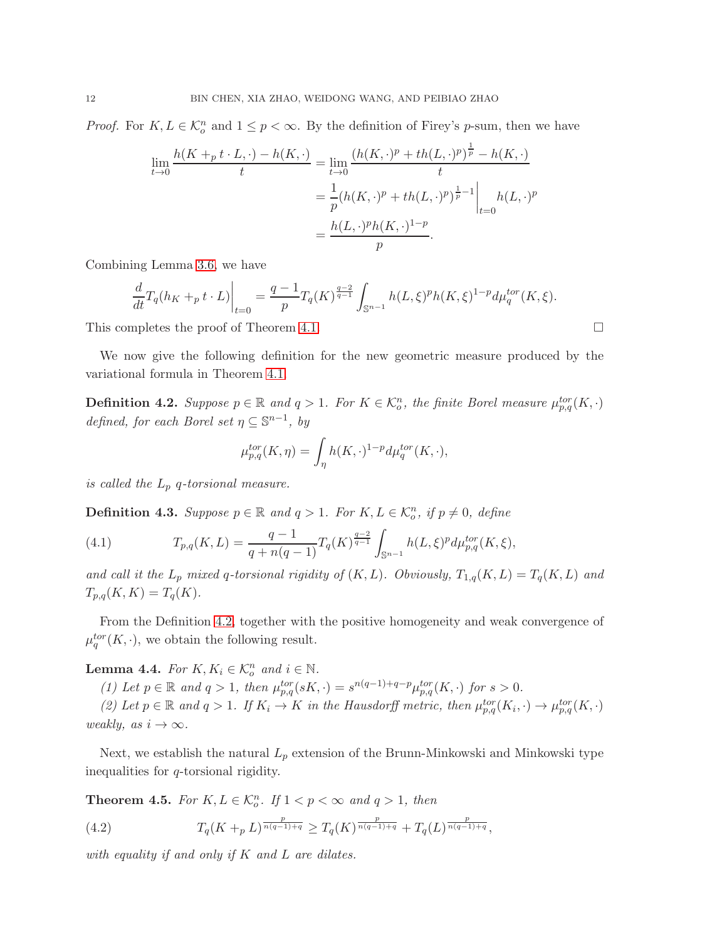*Proof.* For  $K, L \in \mathcal{K}_o^n$  and  $1 \leq p < \infty$ . By the definition of Firey's p-sum, then we have

$$
\lim_{t \to 0} \frac{h(K +_p t \cdot L, \cdot) - h(K, \cdot)}{t} = \lim_{t \to 0} \frac{(h(K, \cdot)^p + th(L, \cdot)^p)^{\frac{1}{p}} - h(K, \cdot)}{t}
$$

$$
= \frac{1}{p} (h(K, \cdot)^p + th(L, \cdot)^p)^{\frac{1}{p} - 1} \Big|_{t = 0} h(L, \cdot)^p
$$

$$
= \frac{h(L, \cdot)^p h(K, \cdot)^{1 - p}}{p}.
$$

Combining Lemma [3.6,](#page-10-2) we have

$$
\frac{d}{dt}T_q(h_K +_p t \cdot L)\Big|_{t=0} = \frac{q-1}{p}T_q(K)^{\frac{q-2}{q-1}} \int_{\mathbb{S}^{n-1}} h(L,\xi)^p h(K,\xi)^{1-p} d\mu_q^{tor}(K,\xi).
$$

This completes the proof of Theorem [4.1.](#page-10-0)

We now give the following definition for the new geometric measure produced by the variational formula in Theorem [4.1.](#page-10-0)

<span id="page-11-0"></span>**Definition 4.2.** Suppose  $p \in \mathbb{R}$  and  $q > 1$ . For  $K \in \mathcal{K}_o^n$ , the finite Borel measure  $\mu_{p,q}^{tor}(K, \cdot)$ defined, for each Borel set  $\eta \subseteq \mathbb{S}^{n-1}$ , by

$$
\mu_{p,q}^{tor}(K,\eta) = \int_{\eta} h(K,\cdot)^{1-p} d\mu_q^{tor}(K,\cdot),
$$

is called the  $L_p$  q-torsional measure.

**Definition 4.3.** Suppose  $p \in \mathbb{R}$  and  $q > 1$ . For  $K, L \in \mathcal{K}_o^n$ , if  $p \neq 0$ , define

(4.1) 
$$
T_{p,q}(K,L) = \frac{q-1}{q+n(q-1)}T_q(K)^{\frac{q-2}{q-1}} \int_{\mathbb{S}^{n-1}} h(L,\xi)^p d\mu_{p,q}^{tor}(K,\xi),
$$

and call it the  $L_p$  mixed q-torsional rigidity of  $(K, L)$ . Obviously,  $T_{1,q}(K, L) = T_q(K, L)$  and  $T_{p,q}(K,K) = T_q(K).$ 

From the Definition [4.2,](#page-11-0) together with the positive homogeneity and weak convergence of  $\mu_q^{tor}(K, \cdot)$ , we obtain the following result.

**Lemma 4.4.** For  $K, K_i \in \mathcal{K}_o^n$  and  $i \in \mathbb{N}$ .

(1) Let  $p \in \mathbb{R}$  and  $q > 1$ , then  $\mu_{p,q}^{tor}(sK, \cdot) = s^{n(q-1)+q-p} \mu_{p,q}^{tor}(K, \cdot)$  for  $s > 0$ .

(2) Let  $p \in \mathbb{R}$  and  $q > 1$ . If  $K_i \to K$  in the Hausdorff metric, then  $\mu_{p,q}^{tor}(K_i, \cdot) \to \mu_{p,q}^{tor}(K, \cdot)$ weakly, as  $i \to \infty$ .

Next, we establish the natural  $L_p$  extension of the Brunn-Minkowski and Minkowski type inequalities for q-torsional rigidity.

<span id="page-11-1"></span>**Theorem 4.5.** For  $K, L \in \mathcal{K}_o^n$ . If  $1 < p < \infty$  and  $q > 1$ , then

(4.2) 
$$
T_q(K +_p L)^{\frac{p}{n(q-1)+q}} \geq T_q(K)^{\frac{p}{n(q-1)+q}} + T_q(L)^{\frac{p}{n(q-1)+q}},
$$

with equality if and only if  $K$  and  $L$  are dilates.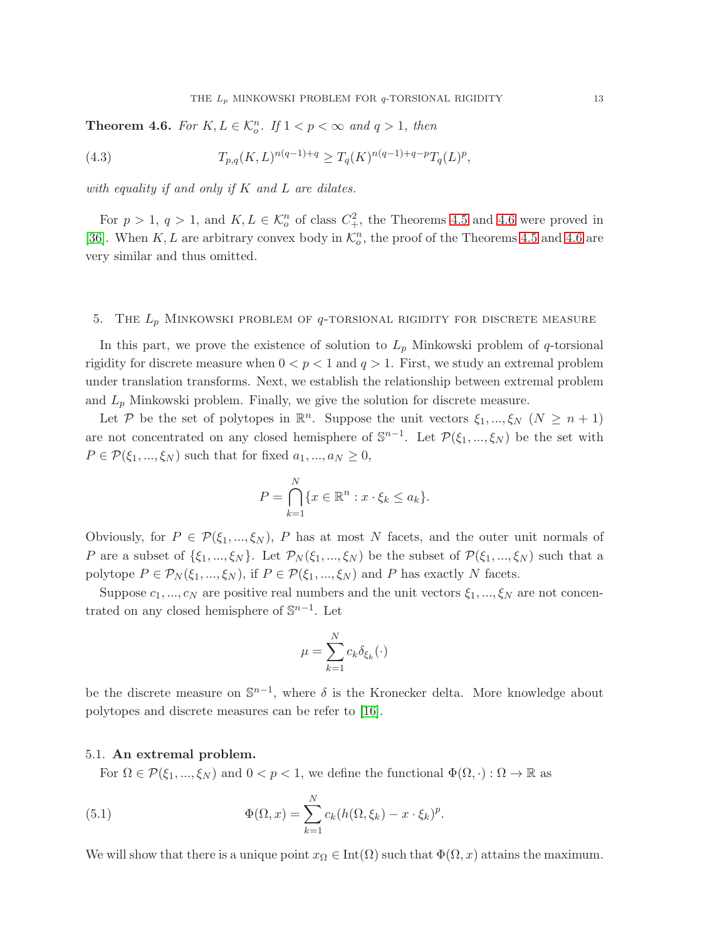<span id="page-12-0"></span>**Theorem 4.6.** For  $K, L \in \mathcal{K}_o^n$ . If  $1 < p < \infty$  and  $q > 1$ , then

(4.3) 
$$
T_{p,q}(K,L)^{n(q-1)+q} \geq T_q(K)^{n(q-1)+q-p}T_q(L)^p,
$$

with equality if and only if  $K$  and  $L$  are dilates.

For  $p > 1$ ,  $q > 1$ , and  $K, L \in \mathcal{K}_o^n$  of class  $C_+^2$ , the Theorems [4.5](#page-11-1) and [4.6](#page-12-0) were proved in [\[36\]](#page-24-18). When K, L are arbitrary convex body in  $\mathcal{K}^n_o$ , the proof of the Theorems [4.5](#page-11-1) and [4.6](#page-12-0) are very similar and thus omitted.

### 5. THE  $L_p$  MINKOWSKI PROBLEM OF  $q$ -TORSIONAL RIGIDITY FOR DISCRETE MEASURE

In this part, we prove the existence of solution to  $L_p$  Minkowski problem of q-torsional rigidity for discrete measure when  $0 < p < 1$  and  $q > 1$ . First, we study an extremal problem under translation transforms. Next, we establish the relationship between extremal problem and  $L_p$  Minkowski problem. Finally, we give the solution for discrete measure.

Let P be the set of polytopes in  $\mathbb{R}^n$ . Suppose the unit vectors  $\xi_1, ..., \xi_N$   $(N \geq n+1)$ are not concentrated on any closed hemisphere of  $\mathbb{S}^{n-1}$ . Let  $\mathcal{P}(\xi_1,...,\xi_N)$  be the set with  $P \in \mathcal{P}(\xi_1, ..., \xi_N)$  such that for fixed  $a_1, ..., a_N \geq 0$ ,

$$
P = \bigcap_{k=1}^{N} \{x \in \mathbb{R}^n : x \cdot \xi_k \le a_k\}.
$$

Obviously, for  $P \in \mathcal{P}(\xi_1, ..., \xi_N)$ , P has at most N facets, and the outer unit normals of P are a subset of  $\{\xi_1,...,\xi_N\}$ . Let  $\mathcal{P}_N(\xi_1,...,\xi_N)$  be the subset of  $\mathcal{P}(\xi_1,...,\xi_N)$  such that a polytope  $P \in \mathcal{P}_N(\xi_1, ..., \xi_N)$ , if  $P \in \mathcal{P}(\xi_1, ..., \xi_N)$  and P has exactly N facets.

Suppose  $c_1, ..., c_N$  are positive real numbers and the unit vectors  $\xi_1, ..., \xi_N$  are not concentrated on any closed hemisphere of  $\mathbb{S}^{n-1}$ . Let

$$
\mu = \sum_{k=1}^{N} c_k \delta_{\xi_k}(\cdot)
$$

be the discrete measure on  $\mathbb{S}^{n-1}$ , where  $\delta$  is the Kronecker delta. More knowledge about polytopes and discrete measures can be refer to [\[16\]](#page-24-20).

### 5.1. An extremal problem.

For  $\Omega \in \mathcal{P}(\xi_1, ..., \xi_N)$  and  $0 < p < 1$ , we define the functional  $\Phi(\Omega, \cdot) : \Omega \to \mathbb{R}$  as

<span id="page-12-1"></span>(5.1) 
$$
\Phi(\Omega, x) = \sum_{k=1}^{N} c_k (h(\Omega, \xi_k) - x \cdot \xi_k)^p.
$$

We will show that there is a unique point  $x_{\Omega} \in \text{Int}(\Omega)$  such that  $\Phi(\Omega, x)$  attains the maximum.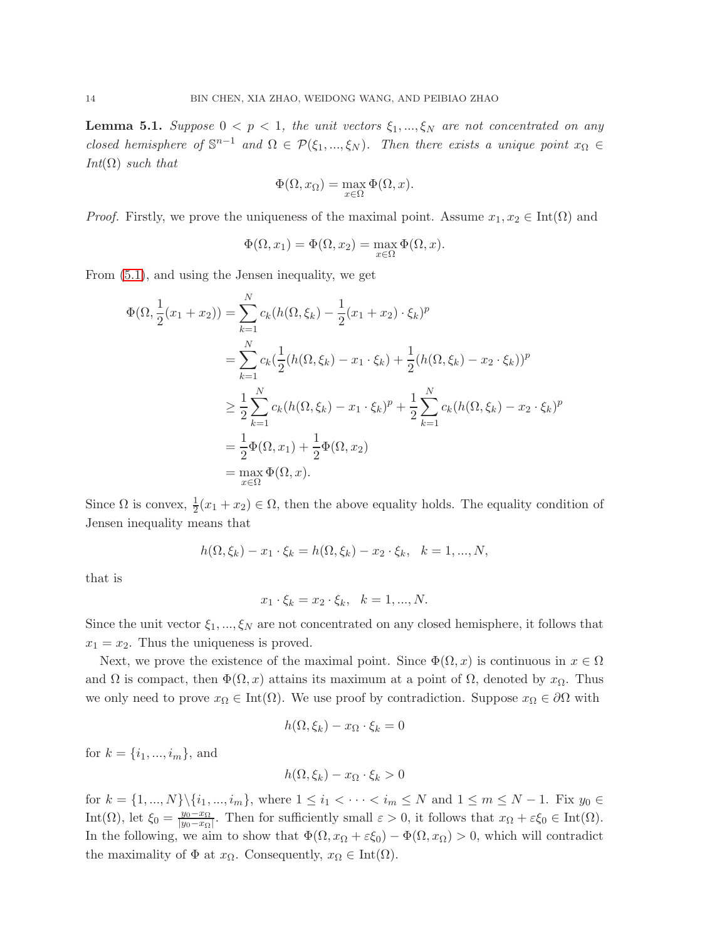**Lemma 5.1.** Suppose  $0 \leq p \leq 1$ , the unit vectors  $\xi_1, ..., \xi_N$  are not concentrated on any closed hemisphere of  $\mathbb{S}^{n-1}$  and  $\Omega \in \mathcal{P}(\xi_1,...,\xi_N)$ . Then there exists a unique point  $x_{\Omega} \in$  $Int(\Omega)$  such that

$$
\Phi(\Omega, x_{\Omega}) = \max_{x \in \Omega} \Phi(\Omega, x).
$$

*Proof.* Firstly, we prove the uniqueness of the maximal point. Assume  $x_1, x_2 \in \text{Int}(\Omega)$  and

$$
\Phi(\Omega, x_1) = \Phi(\Omega, x_2) = \max_{x \in \Omega} \Phi(\Omega, x).
$$

From [\(5.1\)](#page-12-1), and using the Jensen inequality, we get

$$
\Phi(\Omega, \frac{1}{2}(x_1 + x_2)) = \sum_{k=1}^{N} c_k (h(\Omega, \xi_k) - \frac{1}{2}(x_1 + x_2) \cdot \xi_k)^p
$$
  
\n
$$
= \sum_{k=1}^{N} c_k (\frac{1}{2}(h(\Omega, \xi_k) - x_1 \cdot \xi_k) + \frac{1}{2}(h(\Omega, \xi_k) - x_2 \cdot \xi_k))^p
$$
  
\n
$$
\geq \frac{1}{2} \sum_{k=1}^{N} c_k (h(\Omega, \xi_k) - x_1 \cdot \xi_k)^p + \frac{1}{2} \sum_{k=1}^{N} c_k (h(\Omega, \xi_k) - x_2 \cdot \xi_k)^p
$$
  
\n
$$
= \frac{1}{2} \Phi(\Omega, x_1) + \frac{1}{2} \Phi(\Omega, x_2)
$$
  
\n
$$
= \max_{x \in \Omega} \Phi(\Omega, x).
$$

Since  $\Omega$  is convex,  $\frac{1}{2}(x_1 + x_2) \in \Omega$ , then the above equality holds. The equality condition of Jensen inequality means that

$$
h(\Omega, \xi_k) - x_1 \cdot \xi_k = h(\Omega, \xi_k) - x_2 \cdot \xi_k, \quad k = 1, ..., N,
$$

that is

$$
x_1 \cdot \xi_k = x_2 \cdot \xi_k, \ \ k = 1, ..., N.
$$

Since the unit vector  $\xi_1, ..., \xi_N$  are not concentrated on any closed hemisphere, it follows that  $x_1 = x_2$ . Thus the uniqueness is proved.

Next, we prove the existence of the maximal point. Since  $\Phi(\Omega, x)$  is continuous in  $x \in \Omega$ and  $\Omega$  is compact, then  $\Phi(\Omega, x)$  attains its maximum at a point of  $\Omega$ , denoted by  $x_{\Omega}$ . Thus we only need to prove  $x_{\Omega} \in \text{Int}(\Omega)$ . We use proof by contradiction. Suppose  $x_{\Omega} \in \partial\Omega$  with

$$
h(\Omega,\xi_k) - x_{\Omega} \cdot \xi_k = 0
$$

for  $k = \{i_1, ..., i_m\}$ , and

$$
h(\Omega, \xi_k) - x_{\Omega} \cdot \xi_k > 0
$$

for  $k = \{1, ..., N\} \setminus \{i_1, ..., i_m\}$ , where  $1 \le i_1 < \cdots < i_m \le N$  and  $1 \le m \le N - 1$ . Fix  $y_0 \in$ Int( $\Omega$ ), let  $\xi_0 = \frac{y_0 - x_{\Omega}}{|y_0 - x_{\Omega}|}$  $\frac{y_0 - x_0}{|y_0 - x_0|}$ . Then for sufficiently small  $\varepsilon > 0$ , it follows that  $x_0 + \varepsilon \xi_0 \in \text{Int}(\Omega)$ . In the following, we aim to show that  $\Phi(\Omega, x_{\Omega} + \varepsilon \xi_0) - \Phi(\Omega, x_{\Omega}) > 0$ , which will contradict the maximality of  $\Phi$  at  $x_{\Omega}$ . Consequently,  $x_{\Omega} \in \text{Int}(\Omega)$ .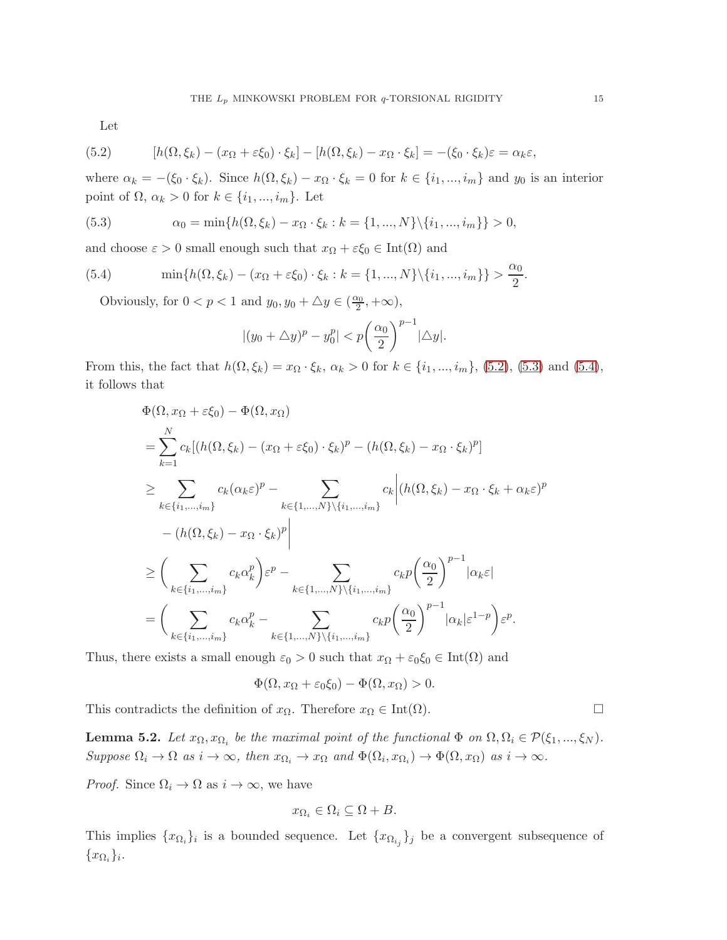Let

<span id="page-14-0"></span>(5.2) 
$$
[h(\Omega, \xi_k) - (x_{\Omega} + \varepsilon \xi_0) \cdot \xi_k] - [h(\Omega, \xi_k) - x_{\Omega} \cdot \xi_k] = -(\xi_0 \cdot \xi_k)\varepsilon = \alpha_k \varepsilon,
$$

where  $\alpha_k = -(\xi_0 \cdot \xi_k)$ . Since  $h(\Omega, \xi_k) - x_{\Omega} \cdot \xi_k = 0$  for  $k \in \{i_1, ..., i_m\}$  and  $y_0$  is an interior point of  $\Omega$ ,  $\alpha_k > 0$  for  $k \in \{i_1, ..., i_m\}$ . Let

<span id="page-14-1"></span>(5.3) 
$$
\alpha_0 = \min\{h(\Omega, \xi_k) - x_{\Omega} \cdot \xi_k : k = \{1, ..., N\} \setminus \{i_1, ..., i_m\}\} > 0,
$$

and choose  $\varepsilon > 0$  small enough such that  $x_{\Omega} + \varepsilon \xi_0 \in \text{Int}(\Omega)$  and

<span id="page-14-2"></span>(5.4) 
$$
\min\{h(\Omega,\xi_k) - (x_{\Omega} + \varepsilon \xi_0) \cdot \xi_k : k = \{1,...,N\} \setminus \{i_1,...,i_m\}\} > \frac{\alpha_0}{2}.
$$

Obviously, for  $0 < p < 1$  and  $y_0, y_0 + \Delta y \in (\frac{\alpha_0}{2}, +\infty)$ ,

$$
|(y_0 + \triangle y)^p - y_0^p| < p\left(\frac{\alpha_0}{2}\right)^{p-1} |\triangle y|.
$$

From this, the fact that  $h(\Omega, \xi_k) = x_{\Omega} \cdot \xi_k$ ,  $\alpha_k > 0$  for  $k \in \{i_1, ..., i_m\}$ , [\(5.2\)](#page-14-0), [\(5.3\)](#page-14-1) and [\(5.4\)](#page-14-2), it follows that

$$
\Phi(\Omega, x_{\Omega} + \varepsilon \xi_{0}) - \Phi(\Omega, x_{\Omega})
$$
\n
$$
= \sum_{k=1}^{N} c_{k} [(h(\Omega, \xi_{k}) - (x_{\Omega} + \varepsilon \xi_{0}) \cdot \xi_{k})^{p} - (h(\Omega, \xi_{k}) - x_{\Omega} \cdot \xi_{k})^{p}]
$$
\n
$$
\geq \sum_{k \in \{i_{1}, \dots, i_{m}\}} c_{k} (\alpha_{k} \varepsilon)^{p} - \sum_{k \in \{1, \dots, N\} \setminus \{i_{1}, \dots, i_{m}\}} c_{k} |(h(\Omega, \xi_{k}) - x_{\Omega} \cdot \xi_{k} + \alpha_{k} \varepsilon)^{p}
$$
\n
$$
- (h(\Omega, \xi_{k}) - x_{\Omega} \cdot \xi_{k})^{p} \Big|
$$
\n
$$
\geq \left( \sum_{k \in \{i_{1}, \dots, i_{m}\}} c_{k} \alpha_{k}^{p} \right) \varepsilon^{p} - \sum_{k \in \{1, \dots, N\} \setminus \{i_{1}, \dots, i_{m}\}} c_{k} p \left( \frac{\alpha_{0}}{2} \right)^{p-1} |\alpha_{k} \varepsilon|
$$
\n
$$
= \left( \sum_{k \in \{i_{1}, \dots, i_{m}\}} c_{k} \alpha_{k}^{p} - \sum_{k \in \{1, \dots, N\} \setminus \{i_{1}, \dots, i_{m}\}} c_{k} p \left( \frac{\alpha_{0}}{2} \right)^{p-1} |\alpha_{k} | \varepsilon^{1-p} \right) \varepsilon^{p}.
$$

Thus, there exists a small enough  $\varepsilon_0 > 0$  such that  $x_{\Omega} + \varepsilon_0 \xi_0 \in \text{Int}(\Omega)$  and

$$
\Phi(\Omega, x_{\Omega} + \varepsilon_0 \xi_0) - \Phi(\Omega, x_{\Omega}) > 0.
$$

This contradicts the definition of  $x_{\Omega}$ . Therefore  $x_{\Omega} \in \text{Int}(\Omega)$ .

<span id="page-14-3"></span>**Lemma 5.2.** Let  $x_0, x_{\Omega_i}$  be the maximal point of the functional  $\Phi$  on  $\Omega, \Omega_i \in \mathcal{P}(\xi_1, ..., \xi_N)$ . Suppose  $\Omega_i \to \Omega$  as  $i \to \infty$ , then  $x_{\Omega_i} \to x_{\Omega}$  and  $\Phi(\Omega_i, x_{\Omega_i}) \to \Phi(\Omega, x_{\Omega})$  as  $i \to \infty$ .

*Proof.* Since  $\Omega_i \to \Omega$  as  $i \to \infty$ , we have

$$
x_{\Omega_i} \in \Omega_i \subseteq \Omega + B.
$$

This implies  $\{x_{\Omega_i}\}_i$  is a bounded sequence. Let  $\{x_{\Omega_{i_j}}\}_j$  be a convergent subsequence of  $\{x_{\Omega_i}\}_i.$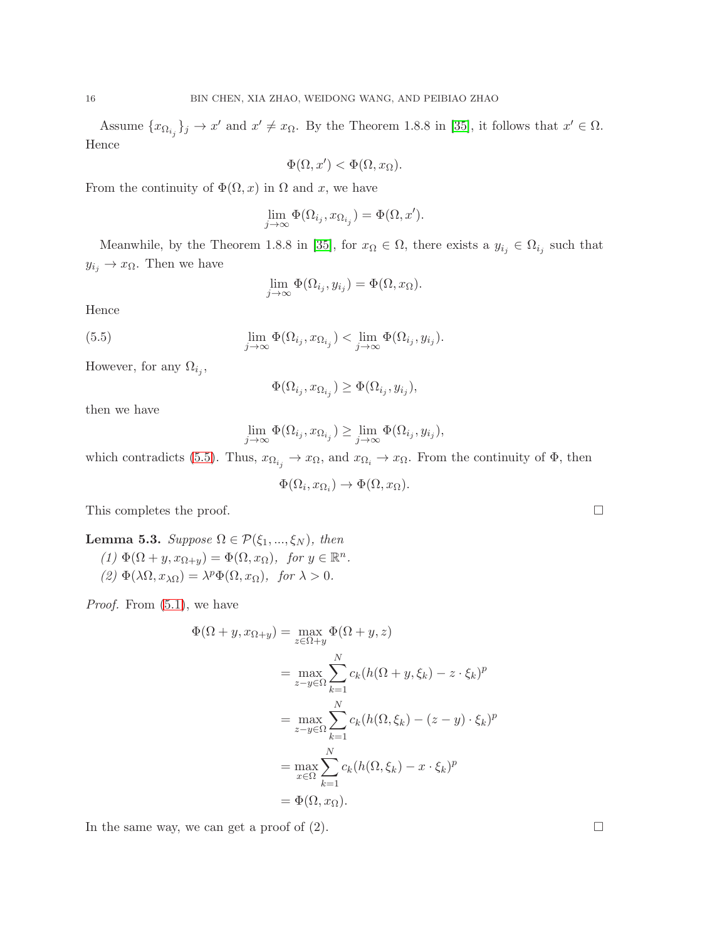Assume  $\{x_{\Omega_{i_j}}\}_j \to x'$  and  $x' \neq x_\Omega$ . By the Theorem 1.8.8 in [\[35\]](#page-24-19), it follows that  $x' \in \Omega$ . Hence

$$
\Phi(\Omega, x') < \Phi(\Omega, x_{\Omega}).
$$

From the continuity of  $\Phi(\Omega, x)$  in  $\Omega$  and x, we have

$$
\lim_{j \to \infty} \Phi(\Omega_{i_j}, x_{\Omega_{i_j}}) = \Phi(\Omega, x').
$$

Meanwhile, by the Theorem 1.8.8 in [\[35\]](#page-24-19), for  $x_0 \in \Omega$ , there exists a  $y_{i_j} \in \Omega_{i_j}$  such that  $y_{i_j} \to x_{\Omega}$ . Then we have

$$
\lim_{j \to \infty} \Phi(\Omega_{i_j}, y_{i_j}) = \Phi(\Omega, x_{\Omega}).
$$

Hence

<span id="page-15-0"></span>(5.5) 
$$
\lim_{j \to \infty} \Phi(\Omega_{i_j}, x_{\Omega_{i_j}}) < \lim_{j \to \infty} \Phi(\Omega_{i_j}, y_{i_j}).
$$

However, for any  $\Omega_{i_j}$ ,

$$
\Phi(\Omega_{i_j},x_{\Omega_{i_j}})\geq \Phi(\Omega_{i_j},y_{i_j}),
$$

then we have

$$
\lim_{j\to\infty}\Phi(\Omega_{i_j},x_{\Omega_{i_j}})\geq \lim_{j\to\infty}\Phi(\Omega_{i_j},y_{i_j}),
$$

which contradicts [\(5.5\)](#page-15-0). Thus,  $x_{\Omega_{i_j}} \to x_{\Omega}$ , and  $x_{\Omega_i} \to x_{\Omega}$ . From the continuity of  $\Phi$ , then

 $\Phi(\Omega_i, x_{\Omega_i}) \to \Phi(\Omega, x_{\Omega}).$ 

This completes the proof.  $\square$ 

<span id="page-15-1"></span>Lemma 5.3. Suppose  $\Omega \in \mathcal{P}(\xi_1, ..., \xi_N)$ , then (1)  $\Phi(\Omega + y, x_{\Omega+y}) = \Phi(\Omega, x_{\Omega}), \text{ for } y \in \mathbb{R}^n.$ (2)  $\Phi(\lambda \Omega, x_{\lambda \Omega}) = \lambda^p \Phi(\Omega, x_{\Omega}),$  for  $\lambda > 0$ .

*Proof.* From  $(5.1)$ , we have

$$
\Phi(\Omega + y, x_{\Omega+y}) = \max_{z \in \Omega + y} \Phi(\Omega + y, z)
$$
  
\n
$$
= \max_{z-y \in \Omega} \sum_{k=1}^{N} c_k (h(\Omega + y, \xi_k) - z \cdot \xi_k)^p
$$
  
\n
$$
= \max_{z-y \in \Omega} \sum_{k=1}^{N} c_k (h(\Omega, \xi_k) - (z - y) \cdot \xi_k)^p
$$
  
\n
$$
= \max_{x \in \Omega} \sum_{k=1}^{N} c_k (h(\Omega, \xi_k) - x \cdot \xi_k)^p
$$
  
\n
$$
= \Phi(\Omega, x_{\Omega}).
$$

In the same way, we can get a proof of  $(2)$ .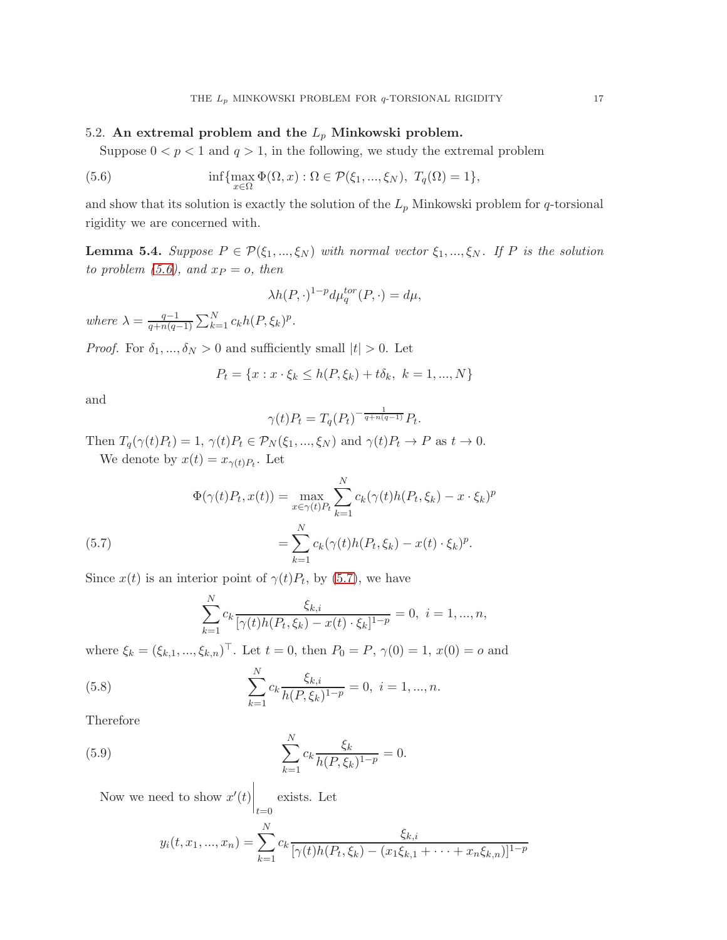## 5.2. An extremal problem and the  $L_p$  Minkowski problem.

Suppose  $0 < p < 1$  and  $q > 1$ , in the following, we study the extremal problem

<span id="page-16-0"></span>(5.6) 
$$
\inf \{ \max_{x \in \Omega} \Phi(\Omega, x) : \Omega \in \mathcal{P}(\xi_1, ..., \xi_N), T_q(\Omega) = 1 \},
$$

and show that its solution is exactly the solution of the  $L_p$  Minkowski problem for q-torsional rigidity we are concerned with.

<span id="page-16-4"></span>**Lemma 5.4.** Suppose  $P \in \mathcal{P}(\xi_1, ..., \xi_N)$  with normal vector  $\xi_1, ..., \xi_N$ . If P is the solution to problem [\(5.6\)](#page-16-0), and  $x_P = o$ , then

$$
\lambda h(P,\cdot)^{1-p} d\mu_q^{tor}(P,\cdot) = d\mu,
$$

where  $\lambda = \frac{q-1}{q+n(q-1)}$  $\frac{q-1}{q+n(q-1)}\sum_{k=1}^{N}c_{k}h(P,\xi_{k})^{p}.$ 

*Proof.* For  $\delta_1, ..., \delta_N > 0$  and sufficiently small  $|t| > 0$ . Let

$$
P_t = \{x : x \cdot \xi_k \le h(P, \xi_k) + t\delta_k, \ k = 1, ..., N\}
$$

and

$$
\gamma(t)P_t = T_q(P_t)^{-\frac{1}{q+n(q-1)}}P_t.
$$

Then  $T_q(\gamma(t)P_t) = 1$ ,  $\gamma(t)P_t \in \mathcal{P}_N(\xi_1, ..., \xi_N)$  and  $\gamma(t)P_t \to P$  as  $t \to 0$ . We denote by  $x(t) = x_{\gamma(t)P_t}$ . Let

(5.7) 
$$
\Phi(\gamma(t)P_t, x(t)) = \max_{x \in \gamma(t)P_t} \sum_{k=1}^{N} c_k(\gamma(t)h(P_t, \xi_k) - x \cdot \xi_k)^p
$$

$$
= \sum_{k=1}^{N} c_k(\gamma(t)h(P_t, \xi_k) - x(t) \cdot \xi_k)^p.
$$

<span id="page-16-1"></span>Since  $x(t)$  is an interior point of  $\gamma(t)P_t$ , by [\(5.7\)](#page-16-1), we have

$$
\sum_{k=1}^{N} c_k \frac{\xi_{k,i}}{[\gamma(t)h(P_t, \xi_k) - x(t) \cdot \xi_k]^{1-p}} = 0, \ i = 1, ..., n,
$$

where  $\xi_k = (\xi_{k,1}, ..., \xi_{k,n})^\top$ . Let  $t = 0$ , then  $P_0 = P$ ,  $\gamma(0) = 1$ ,  $x(0) = o$  and

<span id="page-16-2"></span>(5.8) 
$$
\sum_{k=1}^{N} c_k \frac{\xi_{k,i}}{h(P,\xi_k)^{1-p}} = 0, \ i = 1,...,n.
$$

Therefore

<span id="page-16-3"></span>(5.9) 
$$
\sum_{k=1}^{N} c_k \frac{\xi_k}{h(P,\xi_k)^{1-p}} = 0.
$$

Now we need to show  $x'(t)$  $\bigg|_{t=0}$ exists. Let

$$
y_i(t, x_1, ..., x_n) = \sum_{k=1}^{N} c_k \frac{\xi_{k,i}}{[\gamma(t)h(P_t, \xi_k) - (x_1\xi_{k,1} + \dots + x_n\xi_{k,n})]^{1-p}}
$$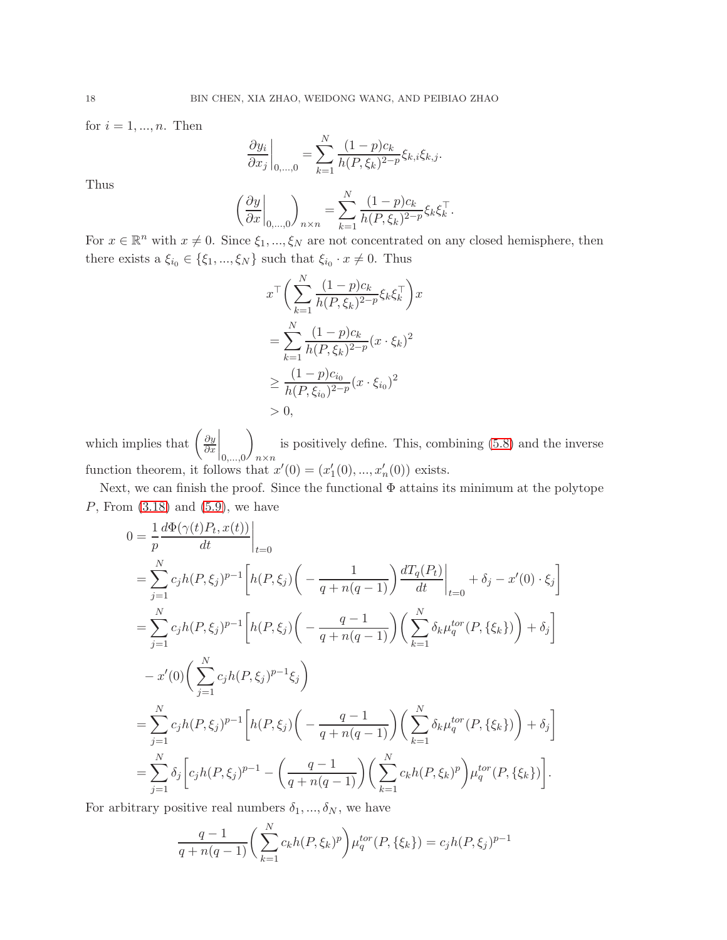for  $i = 1, \ldots, n$ . Then

$$
\frac{\partial y_i}{\partial x_j}\bigg|_{0,\ldots,0} = \sum_{k=1}^N \frac{(1-p)c_k}{h(P,\xi_k)^{2-p}}\xi_{k,i}\xi_{k,j}.
$$

Thus

$$
\left(\frac{\partial y}{\partial x}\bigg|_{0,\ldots,0}\right)_{n\times n} = \sum_{k=1}^N \frac{(1-p)c_k}{h(P,\xi_k)^{2-p}} \xi_k \xi_k^\top.
$$

For  $x \in \mathbb{R}^n$  with  $x \neq 0$ . Since  $\xi_1, ..., \xi_N$  are not concentrated on any closed hemisphere, then there exists  $a \xi_{i_0} \in \{\xi_1, ..., \xi_N\}$  such that  $\xi_{i_0} \cdot x \neq 0$ . Thus

$$
x^{\top} \bigg( \sum_{k=1}^{N} \frac{(1-p)c_k}{h(P,\xi_k)^{2-p}} \xi_k \xi_k^{\top} \bigg) x
$$
  
= 
$$
\sum_{k=1}^{N} \frac{(1-p)c_k}{h(P,\xi_k)^{2-p}} (x \cdot \xi_k)^2
$$
  

$$
\geq \frac{(1-p)c_{i_0}}{h(P,\xi_{i_0})^{2-p}} (x \cdot \xi_{i_0})^2
$$
  
> 0,

which implies that  $\left(\frac{\partial y}{\partial x}\right)$ ∂x  $\Big|_{0,\ldots,0}$  $\overline{ }$ n×n is positively define. This, combining [\(5.8\)](#page-16-2) and the inverse function theorem, it follows that  $x'(0) = (x'_1(0), ..., x'_n(0))$  exists.

Next, we can finish the proof. Since the functional  $\Phi$  attains its minimum at the polytope  $P$ , From  $(3.18)$  and  $(5.9)$ , we have

$$
0 = \frac{1}{p} \frac{d\Phi(\gamma(t)P_t, x(t))}{dt} \Big|_{t=0}
$$
  
\n
$$
= \sum_{j=1}^{N} c_j h(P, \xi_j)^{p-1} \Bigg[ h(P, \xi_j) \Big( - \frac{1}{q + n(q - 1)} \Big) \frac{dT_q(P_t)}{dt} \Big|_{t=0} + \delta_j - x'(0) \cdot \xi_j \Bigg]
$$
  
\n
$$
= \sum_{j=1}^{N} c_j h(P, \xi_j)^{p-1} \Bigg[ h(P, \xi_j) \Big( - \frac{q - 1}{q + n(q - 1)} \Big) \Big( \sum_{k=1}^{N} \delta_k \mu_q^{tor}(P, \{\xi_k\}) \Big) + \delta_j \Bigg]
$$
  
\n
$$
- x'(0) \Big( \sum_{j=1}^{N} c_j h(P, \xi_j)^{p-1} \xi_j \Big)
$$
  
\n
$$
= \sum_{j=1}^{N} c_j h(P, \xi_j)^{p-1} \Bigg[ h(P, \xi_j) \Big( - \frac{q - 1}{q + n(q - 1)} \Big) \Big( \sum_{k=1}^{N} \delta_k \mu_q^{tor}(P, \{\xi_k\}) \Big) + \delta_j \Bigg]
$$
  
\n
$$
= \sum_{j=1}^{N} \delta_j \Bigg[ c_j h(P, \xi_j)^{p-1} - \Big( \frac{q - 1}{q + n(q - 1)} \Big) \Big( \sum_{k=1}^{N} c_k h(P, \xi_k)^p \Big) \mu_q^{tor}(P, \{\xi_k\}) \Bigg].
$$

For arbitrary positive real numbers  $\delta_1, ..., \delta_N$ , we have

$$
\frac{q-1}{q+n(q-1)}\bigg(\sum_{k=1}^N c_k h(P,\xi_k)^p\bigg)\mu_q^{tor}(P,\{\xi_k\}) = c_j h(P,\xi_j)^{p-1}
$$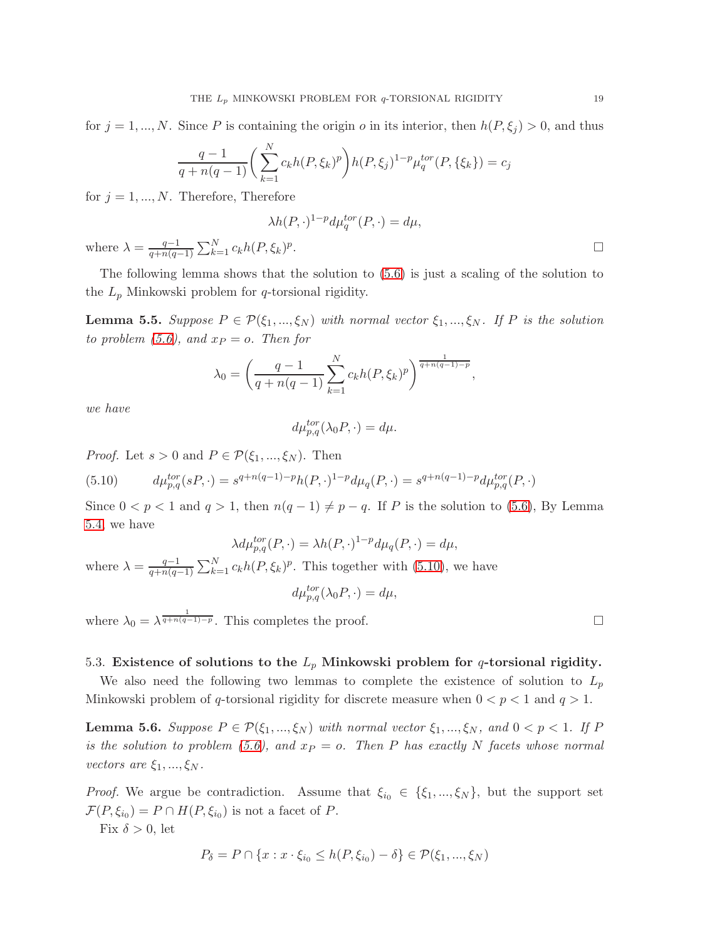for  $j = 1, ..., N$ . Since P is containing the origin o in its interior, then  $h(P, \xi_j) > 0$ , and thus

$$
\frac{q-1}{q+n(q-1)}\bigg(\sum_{k=1}^N c_k h(P,\xi_k)^p\bigg)h(P,\xi_j)^{1-p}\mu_q^{tor}(P,\{\xi_k\})=c_j
$$

for  $j = 1, ..., N$ . Therefore, Therefore

$$
\lambda h(P,\cdot)^{1-p} d\mu_q^{tor}(P,\cdot) = d\mu,
$$
  
 
$$
\lambda = \frac{q-1}{q+n(q-1)} \sum_{k=1}^N c_k h(P,\xi_k)^p.
$$

The following lemma shows that the solution to [\(5.6\)](#page-16-0) is just a scaling of the solution to the  $L_p$  Minkowski problem for q-torsional rigidity.

<span id="page-18-2"></span>**Lemma 5.5.** Suppose  $P \in \mathcal{P}(\xi_1, ..., \xi_N)$  with normal vector  $\xi_1, ..., \xi_N$ . If P is the solution to problem [\(5.6\)](#page-16-0), and  $x_P = o$ . Then for

$$
\lambda_0 = \left(\frac{q-1}{q+n(q-1)}\sum_{k=1}^N c_k h(P,\xi_k)^p\right)^{\frac{1}{q+n(q-1)-p}},
$$

we have

wher

$$
d\mu_{p,q}^{tor}(\lambda_0 P, \cdot) = d\mu.
$$

*Proof.* Let  $s > 0$  and  $P \in \mathcal{P}(\xi_1, ..., \xi_N)$ . Then

<span id="page-18-0"></span>(5.10) 
$$
d\mu_{p,q}^{tor}(sP,\cdot) = s^{q+n(q-1)-p}h(P,\cdot)^{1-p}d\mu_q(P,\cdot) = s^{q+n(q-1)-p}d\mu_{p,q}^{tor}(P,\cdot)
$$

Since  $0 < p < 1$  and  $q > 1$ , then  $n(q - 1) \neq p - q$ . If P is the solution to [\(5.6\)](#page-16-0), By Lemma [5.4,](#page-16-4) we have

$$
\lambda d\mu_{p,q}^{tor}(P,\cdot) = \lambda h(P,\cdot)^{1-p} d\mu_q(P,\cdot) = d\mu,
$$

where  $\lambda = \frac{q-1}{q+p(q-1)}$  $\frac{q-1}{q+n(q-1)}\sum_{k=1}^{N}c_kh(P,\xi_k)^p$ . This together with [\(5.10\)](#page-18-0), we have

$$
d\mu_{p,q}^{tor}(\lambda_0 P, \cdot) = d\mu,
$$

where  $\lambda_0 = \lambda^{\frac{1}{q+n(q-1)-p}}$ . This completes the proof.

## 5.3. Existence of solutions to the  $L_p$  Minkowski problem for q-torsional rigidity.

We also need the following two lemmas to complete the existence of solution to  $L_p$ Minkowski problem of q-torsional rigidity for discrete measure when  $0 < p < 1$  and  $q > 1$ .

<span id="page-18-1"></span>**Lemma 5.6.** Suppose  $P \in \mathcal{P}(\xi_1, ..., \xi_N)$  with normal vector  $\xi_1, ..., \xi_N$ , and  $0 < p < 1$ . If P is the solution to problem [\(5.6\)](#page-16-0), and  $x_P = o$ . Then P has exactly N facets whose normal vectors are  $\xi_1, ..., \xi_N$ .

*Proof.* We argue be contradiction. Assume that  $\xi_{i_0} \in {\xi_1, ..., \xi_N}$ , but the support set  $\mathcal{F}(P,\xi_{i_0})=P\cap H(P,\xi_{i_0})$  is not a facet of P.

Fix  $\delta > 0$ , let

$$
P_{\delta} = P \cap \{x : x \cdot \xi_{i_0} \le h(P, \xi_{i_0}) - \delta\} \in \mathcal{P}(\xi_1, ..., \xi_N)
$$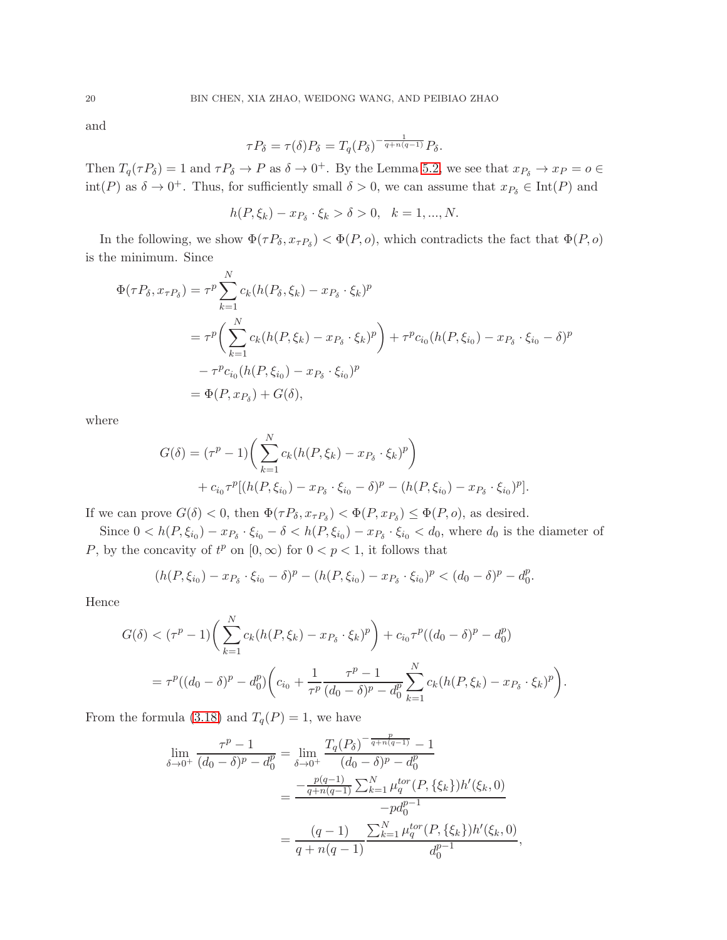and

$$
\tau P_{\delta} = \tau(\delta) P_{\delta} = T_q(P_{\delta})^{-\frac{1}{q+n(q-1)}} P_{\delta}.
$$

Then  $T_q(\tau P_\delta) = 1$  and  $\tau P_\delta \to P$  as  $\delta \to 0^+$ . By the Lemma [5.2,](#page-14-0) we see that  $x_{P_\delta} \to x_P = o \in \mathbb{C}$  $\text{int}(P)$  as  $\delta \to 0^+$ . Thus, for sufficiently small  $\delta > 0$ , we can assume that  $x_{P_\delta} \in \text{Int}(P)$  and

$$
h(P, \xi_k) - x_{P_{\delta}} \cdot \xi_k > \delta > 0, \quad k = 1, ..., N.
$$

In the following, we show  $\Phi(\tau P_\delta, x_{\tau P_\delta}) < \Phi(P, o)$ , which contradicts the fact that  $\Phi(P, o)$ is the minimum. Since

$$
\Phi(\tau P_{\delta}, x_{\tau P_{\delta}}) = \tau^{p} \sum_{k=1}^{N} c_{k} (h(P_{\delta}, \xi_{k}) - x_{P_{\delta}} \cdot \xi_{k})^{p}
$$
  
= 
$$
\tau^{p} \bigg( \sum_{k=1}^{N} c_{k} (h(P, \xi_{k}) - x_{P_{\delta}} \cdot \xi_{k})^{p} \bigg) + \tau^{p} c_{i_{0}} (h(P, \xi_{i_{0}}) - x_{P_{\delta}} \cdot \xi_{i_{0}} - \delta)^{p}
$$
  

$$
- \tau^{p} c_{i_{0}} (h(P, \xi_{i_{0}}) - x_{P_{\delta}} \cdot \xi_{i_{0}})^{p}
$$
  
= 
$$
\Phi(P, x_{P_{\delta}}) + G(\delta),
$$

where

$$
G(\delta) = (\tau^p - 1) \left( \sum_{k=1}^N c_k (h(P, \xi_k) - x_{P_{\delta}} \cdot \xi_k)^p \right) + c_{i_0} \tau^p [(h(P, \xi_{i_0}) - x_{P_{\delta}} \cdot \xi_{i_0} - \delta)^p - (h(P, \xi_{i_0}) - x_{P_{\delta}} \cdot \xi_{i_0})^p].
$$

If we can prove  $G(\delta) < 0$ , then  $\Phi(\tau P_{\delta}, x_{\tau P_{\delta}}) < \Phi(P, x_{P_{\delta}}) \le \Phi(P, o)$ , as desired.

Since  $0 < h(P, \xi_{i_0}) - x_{P_{\delta}} \cdot \xi_{i_0} - \delta < h(P, \xi_{i_0}) - x_{P_{\delta}} \cdot \xi_{i_0} < d_0$ , where  $d_0$  is the diameter of P, by the concavity of  $t^p$  on  $[0, \infty)$  for  $0 < p < 1$ , it follows that

$$
(h(P, \xi_{i_0}) - x_{P_{\delta}} \cdot \xi_{i_0} - \delta)^p - (h(P, \xi_{i_0}) - x_{P_{\delta}} \cdot \xi_{i_0})^p < (d_0 - \delta)^p - d_0^p.
$$

Hence

$$
G(\delta) < (\tau^p - 1) \bigg( \sum_{k=1}^N c_k (h(P, \xi_k) - x_{P_{\delta}} \cdot \xi_k)^p \bigg) + c_{i_0} \tau^p ((d_0 - \delta)^p - d_0^p)
$$
  
=  $\tau^p ((d_0 - \delta)^p - d_0^p) \bigg( c_{i_0} + \frac{1}{\tau^p} \frac{\tau^p - 1}{(d_0 - \delta)^p - d_0^p} \sum_{k=1}^N c_k (h(P, \xi_k) - x_{P_{\delta}} \cdot \xi_k)^p \bigg).$ 

From the formula [\(3.18\)](#page-10-3) and  $T_q(P) = 1$ , we have

$$
\lim_{\delta \to 0^{+}} \frac{\tau^{p} - 1}{(d_{0} - \delta)^{p} - d_{0}^{p}} = \lim_{\delta \to 0^{+}} \frac{T_{q}(P_{\delta})^{-\frac{p}{q + n(q - 1)}} - 1}{(d_{0} - \delta)^{p} - d_{0}^{p}}
$$

$$
= \frac{-\frac{p(q - 1)}{q + n(q - 1)} \sum_{k=1}^{N} \mu_{q}^{tor}(P, \{\xi_{k}\}) h'(\xi_{k}, 0)}{-pd_{0}^{p - 1}}
$$

$$
= \frac{(q - 1)}{q + n(q - 1)} \frac{\sum_{k=1}^{N} \mu_{q}^{tor}(P, \{\xi_{k}\}) h'(\xi_{k}, 0)}{d_{0}^{p - 1}},
$$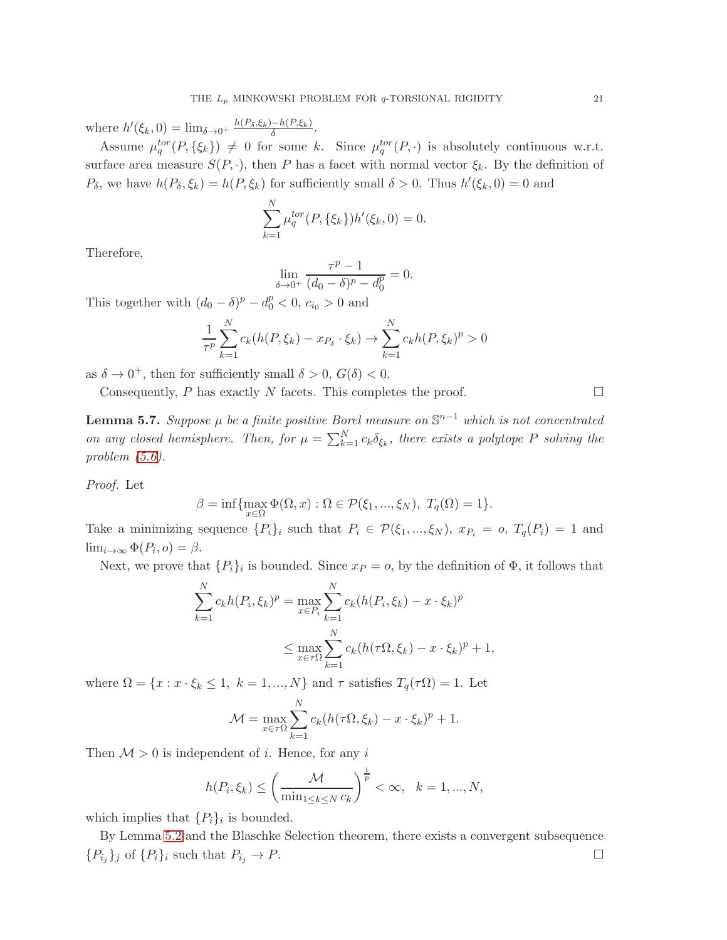where  $h'(\xi_k, 0) = \lim_{\delta \to 0^+} \frac{h(P_\delta, \xi_k) - h(P_\delta, \xi_k)}{\delta}$  $\frac{-n(F,\zeta_k)}{\delta}$ .

Assume  $\mu_q^{tor}(P, \{\xi_k\}) \neq 0$  for some k. Since  $\mu_q^{tor}(P, \cdot)$  is absolutely continuous w.r.t. surface area measure  $S(P, \cdot)$ , then P has a facet with normal vector  $\xi_k$ . By the definition of  $P_{\delta}$ , we have  $h(P_{\delta}, \xi_k) = h(P, \xi_k)$  for sufficiently small  $\delta > 0$ . Thus  $h'(\xi_k, 0) = 0$  and

$$
\sum_{k=1}^{N} \mu_q^{tor}(P, \{\xi_k\}) h'(\xi_k, 0) = 0.
$$

Therefore,

$$
\lim_{\delta \to 0^+} \frac{\tau^p - 1}{(d_0 - \delta)^p - d_0^p} = 0.
$$

This together with  $(d_0 - \delta)^p - d_0^p < 0$ ,  $c_{i_0} > 0$  and

$$
\frac{1}{\tau^p} \sum_{k=1}^N c_k(h(P, \xi_k) - x_{P_{\delta}} \cdot \xi_k) \to \sum_{k=1}^N c_k h(P, \xi_k)^p > 0
$$

as  $\delta \to 0^+$ , then for sufficiently small  $\delta > 0$ ,  $G(\delta) < 0$ .

Consequently,  $P$  has exactly  $N$  facets. This completes the proof.  $\Box$ 

<span id="page-20-0"></span>**Lemma 5.7.** Suppose  $\mu$  be a finite positive Borel measure on  $\mathbb{S}^{n-1}$  which is not concentrated on any closed hemisphere. Then, for  $\mu = \sum_{k=1}^{N} c_k \delta_{\xi_k}$ , there exists a polytope P solving the problem [\(5.6\)](#page-16-0).

Proof. Let

$$
\beta = \inf \{ \max_{x \in \Omega} \Phi(\Omega, x) : \Omega \in \mathcal{P}(\xi_1, ..., \xi_N), T_q(\Omega) = 1 \}.
$$

Take a minimizing sequence  $\{P_i\}_i$  such that  $P_i \in \mathcal{P}(\xi_1, ..., \xi_N)$ ,  $x_{P_i} = o$ ,  $T_q(P_i) = 1$  and  $\lim_{i\to\infty}\Phi(P_i, o) = \beta.$ 

Next, we prove that  $\{P_i\}_i$  is bounded. Since  $x_P = o$ , by the definition of  $\Phi$ , it follows that

$$
\sum_{k=1}^{N} c_k h(P_i, \xi_k)^p = \max_{x \in P_i} \sum_{k=1}^{N} c_k (h(P_i, \xi_k) - x \cdot \xi_k)^p
$$
  

$$
\leq \max_{x \in \tau \Omega} \sum_{k=1}^{N} c_k (h(\tau \Omega, \xi_k) - x \cdot \xi_k)^p + 1,
$$

where  $\Omega = \{x : x \cdot \xi_k \leq 1, k = 1, ..., N\}$  and  $\tau$  satisfies  $T_q(\tau \Omega) = 1$ . Let

$$
\mathcal{M} = \max_{x \in \tau \Omega} \sum_{k=1}^{N} c_k (h(\tau \Omega, \xi_k) - x \cdot \xi_k)^p + 1.
$$

Then  $\mathcal{M} > 0$  is independent of *i*. Hence, for any *i* 

$$
h(P_i, \xi_k) \le \left(\frac{\mathcal{M}}{\min_{1 \le k \le N} c_k}\right)^{\frac{1}{p}} < \infty, \quad k = 1, ..., N,
$$

which implies that  $\{P_i\}_i$  is bounded.

By Lemma [5.2](#page-14-3) and the Blaschke Selection theorem, there exists a convergent subsequence  ${P_{i_j}}_j$  of  ${P_i}_i$  such that  $P_{i_j} \to P$ .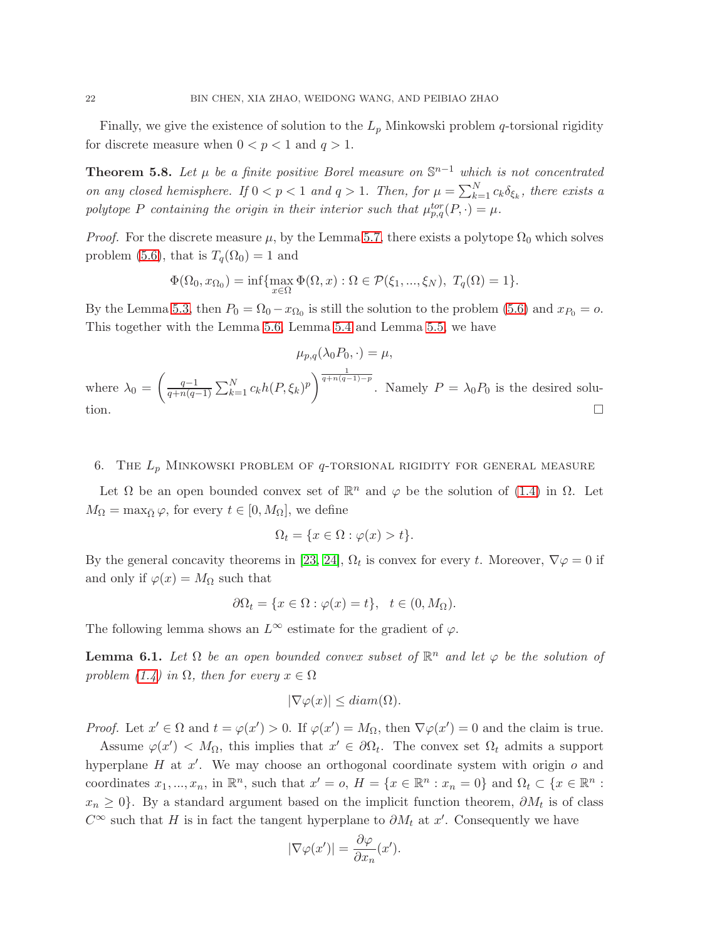Finally, we give the existence of solution to the  $L_p$  Minkowski problem q-torsional rigidity for discrete measure when  $0 < p < 1$  and  $q > 1$ .

<span id="page-21-0"></span>**Theorem 5.8.** Let  $\mu$  be a finite positive Borel measure on  $\mathbb{S}^{n-1}$  which is not concentrated on any closed hemisphere. If  $0 < p < 1$  and  $q > 1$ . Then, for  $\mu = \sum_{k=1}^{N} c_k \delta_{\xi_k}$ , there exists a polytope P containing the origin in their interior such that  $\mu_{p,q}^{tor}(P, \cdot) = \mu$ .

*Proof.* For the discrete measure  $\mu$ , by the Lemma [5.7,](#page-20-0) there exists a polytope  $\Omega_0$  which solves problem [\(5.6\)](#page-16-0), that is  $T_q(\Omega_0) = 1$  and

$$
\Phi(\Omega_0, x_{\Omega_0}) = \inf \{ \max_{x \in \Omega} \Phi(\Omega, x) : \Omega \in \mathcal{P}(\xi_1, \dots, \xi_N), T_q(\Omega) = 1 \}.
$$

By the Lemma [5.3,](#page-15-1) then  $P_0 = \Omega_0 - x_{\Omega_0}$  is still the solution to the problem [\(5.6\)](#page-16-0) and  $x_{P_0} = o$ . This together with the Lemma [5.6,](#page-18-1) Lemma [5.4](#page-16-4) and Lemma [5.5,](#page-18-2) we have

$$
\mu_{p,q}(\lambda_0 P_0, \cdot) = \mu,
$$
  
where  $\lambda_0 = \left(\frac{q-1}{q+n(q-1)} \sum_{k=1}^N c_k h(P, \xi_k)^p\right)^{\frac{1}{q+n(q-1)-p}}$ . Namely  $P = \lambda_0 P_0$  is the desired solution.

# 6. THE  $L_p$  MINKOWSKI PROBLEM OF  $q$ -TORSIONAL RIGIDITY FOR GENERAL MEASURE

Let  $\Omega$  be an open bounded convex set of  $\mathbb{R}^n$  and  $\varphi$  be the solution of [\(1.4\)](#page-1-3) in  $\Omega$ . Let  $M_{\Omega} = \max_{\overline{\Omega}} \varphi$ , for every  $t \in [0, M_{\Omega}]$ , we define

$$
\Omega_t = \{ x \in \Omega : \varphi(x) > t \}.
$$

By the general concavity theorems in [\[23,](#page-24-21) [24\]](#page-24-22),  $\Omega_t$  is convex for every t. Moreover,  $\nabla \varphi = 0$  if and only if  $\varphi(x) = M_{\Omega}$  such that

$$
\partial \Omega_t = \{ x \in \Omega : \varphi(x) = t \}, \quad t \in (0, M_\Omega).
$$

The following lemma shows an  $L^{\infty}$  estimate for the gradient of  $\varphi$ .

<span id="page-21-1"></span>**Lemma 6.1.** Let  $\Omega$  be an open bounded convex subset of  $\mathbb{R}^n$  and let  $\varphi$  be the solution of problem  $(1.4)$  in  $\Omega$ , then for every  $x \in \Omega$ 

$$
|\nabla \varphi(x)| \leq diam(\Omega).
$$

*Proof.* Let  $x' \in \Omega$  and  $t = \varphi(x') > 0$ . If  $\varphi(x') = M_{\Omega}$ , then  $\nabla \varphi(x') = 0$  and the claim is true.

Assume  $\varphi(x') < M_{\Omega}$ , this implies that  $x' \in \partial \Omega_t$ . The convex set  $\Omega_t$  admits a support hyperplane  $H$  at  $x'$ . We may choose an orthogonal coordinate system with origin  $o$  and coordinates  $x_1, ..., x_n$ , in  $\mathbb{R}^n$ , such that  $x' = o$ ,  $H = \{x \in \mathbb{R}^n : x_n = 0\}$  and  $\Omega_t \subset \{x \in \mathbb{R}^n : x_n = 0\}$  $x_n \geq 0$ . By a standard argument based on the implicit function theorem,  $\partial M_t$  is of class  $C^{\infty}$  such that H is in fact the tangent hyperplane to  $\partial M_t$  at x'. Consequently we have

$$
|\nabla \varphi(x')| = \frac{\partial \varphi}{\partial x_n}(x').
$$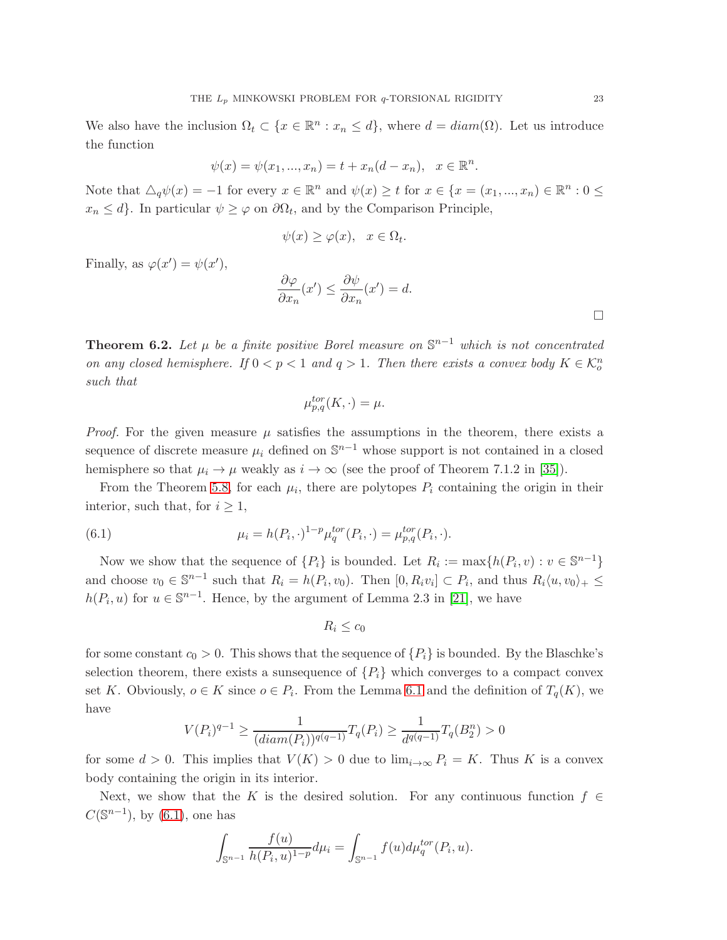We also have the inclusion  $\Omega_t \subset \{x \in \mathbb{R}^n : x_n \leq d\}$ , where  $d = diam(\Omega)$ . Let us introduce the function

$$
\psi(x) = \psi(x_1, ..., x_n) = t + x_n(d - x_n), \quad x \in \mathbb{R}^n.
$$

Note that  $\Delta_q \psi(x) = -1$  for every  $x \in \mathbb{R}^n$  and  $\psi(x) \geq t$  for  $x \in \{x = (x_1, ..., x_n) \in \mathbb{R}^n : 0 \leq$  $x_n \leq d$ . In particular  $\psi \geq \varphi$  on  $\partial \Omega_t$ , and by the Comparison Principle,

$$
\psi(x) \ge \varphi(x), \quad x \in \Omega_t.
$$

Finally, as  $\varphi(x') = \psi(x')$ ,

$$
\frac{\partial \varphi}{\partial x_n}(x') \le \frac{\partial \psi}{\partial x_n}(x') = d.
$$

<span id="page-22-0"></span>**Theorem 6.2.** Let  $\mu$  be a finite positive Borel measure on  $\mathbb{S}^{n-1}$  which is not concentrated on any closed hemisphere. If  $0 < p < 1$  and  $q > 1$ . Then there exists a convex body  $K \in \mathcal{K}_o^n$ such that

$$
\mu_{p,q}^{tor}(K,\cdot) = \mu.
$$

*Proof.* For the given measure  $\mu$  satisfies the assumptions in the theorem, there exists a sequence of discrete measure  $\mu_i$  defined on  $\mathbb{S}^{n-1}$  whose support is not contained in a closed hemisphere so that  $\mu_i \to \mu$  weakly as  $i \to \infty$  (see the proof of Theorem 7.1.2 in [\[35\]](#page-24-19)).

From the Theorem [5.8,](#page-21-0) for each  $\mu_i$ , there are polytopes  $P_i$  containing the origin in their interior, such that, for  $i \geq 1$ ,

<span id="page-22-1"></span>(6.1) 
$$
\mu_i = h(P_i, \cdot)^{1-p} \mu_q^{tor}(P_i, \cdot) = \mu_{p,q}^{tor}(P_i, \cdot).
$$

Now we show that the sequence of  $\{P_i\}$  is bounded. Let  $R_i := \max\{h(P_i, v) : v \in \mathbb{S}^{n-1}\}\$ and choose  $v_0 \in \mathbb{S}^{n-1}$  such that  $R_i = h(P_i, v_0)$ . Then  $[0, R_i v_i] \subset P_i$ , and thus  $R_i \langle u, v_0 \rangle_+ \leq$  $h(P_i, u)$  for  $u \in \mathbb{S}^{n-1}$ . Hence, by the argument of Lemma 2.3 in [\[21\]](#page-24-5), we have

$$
R_i \leq c_0
$$

for some constant  $c_0 > 0$ . This shows that the sequence of  $\{P_i\}$  is bounded. By the Blaschke's selection theorem, there exists a sunsequence of  $\{P_i\}$  which converges to a compact convex set K. Obviously,  $o \in K$  since  $o \in P_i$ . From the Lemma [6.1](#page-21-1) and the definition of  $T_q(K)$ , we have

$$
V(P_i)^{q-1} \ge \frac{1}{(diam(P_i))^{q(q-1)}} T_q(P_i) \ge \frac{1}{d^{q(q-1)}} T_q(B_2^n) > 0
$$

for some  $d > 0$ . This implies that  $V(K) > 0$  due to  $\lim_{i \to \infty} P_i = K$ . Thus K is a convex body containing the origin in its interior.

Next, we show that the K is the desired solution. For any continuous function  $f \in$  $C(\mathbb{S}^{n-1})$ , by [\(6.1\)](#page-22-1), one has

$$
\int_{\mathbb{S}^{n-1}} \frac{f(u)}{h(P_i, u)^{1-p}} d\mu_i = \int_{\mathbb{S}^{n-1}} f(u) d\mu_q^{tor}(P_i, u).
$$

 $\Box$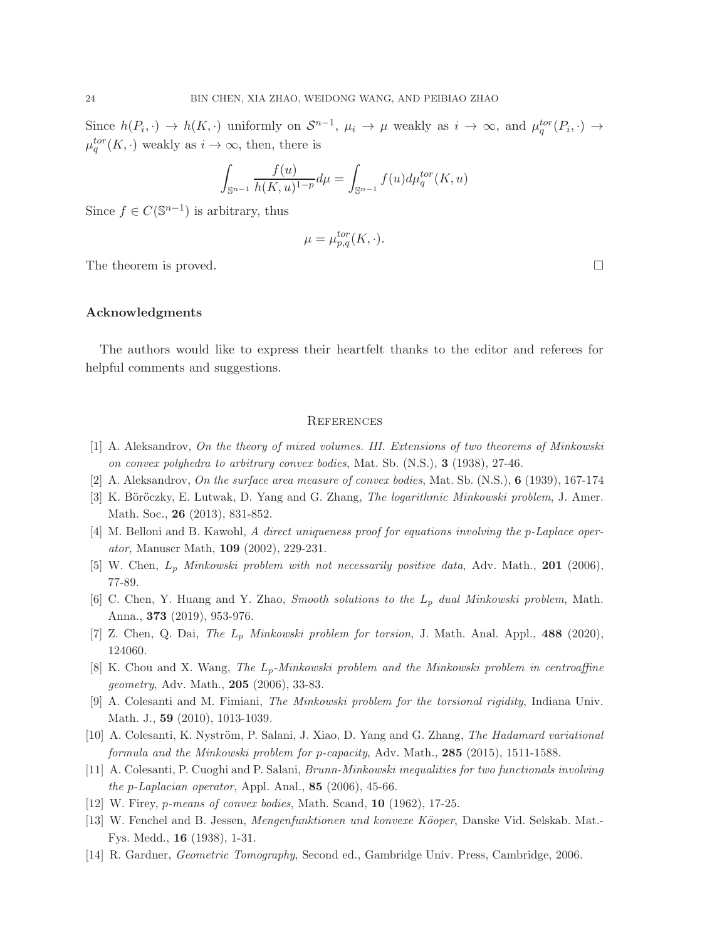Since  $h(P_i, \cdot) \to h(K, \cdot)$  uniformly on  $S^{n-1}$ ,  $\mu_i \to \mu$  weakly as  $i \to \infty$ , and  $\mu_q^{tor}(P_i, \cdot) \to$  $\mu_q^{tor}(K, \cdot)$  weakly as  $i \to \infty$ , then, there is

$$
\int_{\mathbb{S}^{n-1}} \frac{f(u)}{h(K, u)^{1-p}} d\mu = \int_{\mathbb{S}^{n-1}} f(u) d\mu_q^{tor}(K, u)
$$

Since  $f \in C(\mathbb{S}^{n-1})$  is arbitrary, thus

$$
\mu = \mu_{p,q}^{tor}(K, \cdot).
$$

The theorem is proved.  $\square$ 

### Acknowledgments

The authors would like to express their heartfelt thanks to the editor and referees for helpful comments and suggestions.

#### **REFERENCES**

- <span id="page-23-1"></span><span id="page-23-0"></span>[1] A. Aleksandrov, On the theory of mixed volumes. III. Extensions of two theorems of Minkowski on convex polyhedra to arbitrary convex bodies, Mat. Sb. (N.S.), 3 (1938), 27-46.
- <span id="page-23-7"></span>[2] A. Aleksandrov, On the surface area measure of convex bodies, Mat. Sb. (N.S.), 6 (1939), 167-174
- <span id="page-23-11"></span>[3] K. Böröczky, E. Lutwak, D. Yang and G. Zhang, *The logarithmic Minkowski problem*, J. Amer. Math. Soc., 26 (2013), 831-852.
- <span id="page-23-4"></span>[4] M. Belloni and B. Kawohl, A direct uniqueness proof for equations involving the p-Laplace operator, Manuscr Math, 109 (2002), 229-231.
- <span id="page-23-5"></span>[5] W. Chen,  $L_p$  Minkowski problem with not necessarily positive data, Adv. Math., 201 (2006), 77-89.
- <span id="page-23-12"></span>[6] C. Chen, Y. Huang and Y. Zhao, Smooth solutions to the L<sup>p</sup> dual Minkowski problem, Math. Anna., 373 (2019), 953-976.
- <span id="page-23-6"></span>[7] Z. Chen, Q. Dai, The  $L_p$  Minkowski problem for torsion, J. Math. Anal. Appl., 488 (2020), 124060.
- <span id="page-23-8"></span>[8] K. Chou and X. Wang, The  $L_p$ -Minkowski problem and the Minkowski problem in centroaffine geometry, Adv. Math., 205 (2006), 33-83.
- <span id="page-23-9"></span>[9] A. Colesanti and M. Fimiani, The Minkowski problem for the torsional rigidity, Indiana Univ. Math. J., 59 (2010), 1013-1039.
- <span id="page-23-10"></span>[10] A. Colesanti, K. Nyström, P. Salani, J. Xiao, D. Yang and G. Zhang, The Hadamard variational formula and the Minkowski problem for p-capacity, Adv. Math., 285 (2015), 1511-1588.
- <span id="page-23-3"></span>[11] A. Colesanti, P. Cuoghi and P. Salani, Brunn-Minkowski inequalities for two functionals involving the p-Laplacian operator, Appl. Anal.,  $85$  (2006), 45-66.
- <span id="page-23-2"></span>[12] W. Firey, *p-means of convex bodies*, Math. Scand, **10** (1962), 17-25.
- [13] W. Fenchel and B. Jessen, *Mengenfunktionen und konvexe Köoper*, Danske Vid. Selskab. Mat.-Fys. Medd., 16 (1938), 1-31.
- <span id="page-23-13"></span>[14] R. Gardner, Geometric Tomography, Second ed., Gambridge Univ. Press, Cambridge, 2006.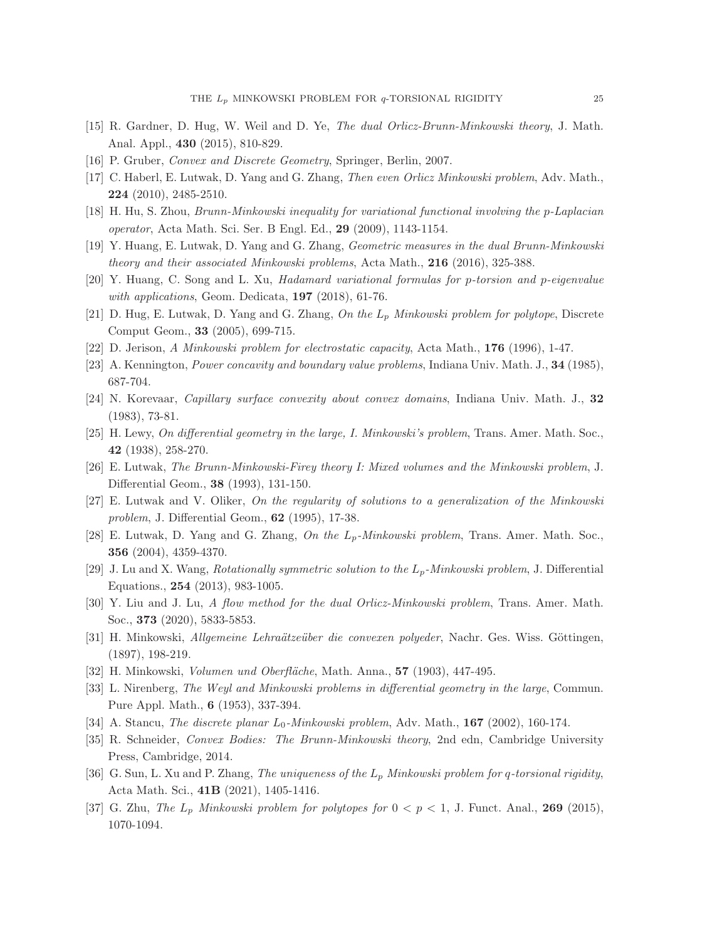- <span id="page-24-20"></span><span id="page-24-12"></span>[15] R. Gardner, D. Hug, W. Weil and D. Ye, The dual Orlicz-Brunn-Minkowski theory, J. Math. Anal. Appl., 430 (2015), 810-829.
- <span id="page-24-13"></span>[16] P. Gruber, Convex and Discrete Geometry, Springer, Berlin, 2007.
- <span id="page-24-16"></span>[17] C. Haberl, E. Lutwak, D. Yang and G. Zhang, Then even Orlicz Minkowski problem, Adv. Math., 224 (2010), 2485-2510.
- <span id="page-24-11"></span>[18] H. Hu, S. Zhou, Brunn-Minkowski inequality for variational functional involving the p-Laplacian operator, Acta Math. Sci. Ser. B Engl. Ed., 29 (2009), 1143-1154.
- <span id="page-24-17"></span>[19] Y. Huang, E. Lutwak, D. Yang and G. Zhang, Geometric measures in the dual Brunn-Minkowski theory and their associated Minkowski problems, Acta Math.,  $216$  (2016), 325-388.
- <span id="page-24-5"></span>[20] Y. Huang, C. Song and L. Xu, Hadamard variational formulas for p-torsion and p-eigenvalue with applications, Geom. Dedicata,  $197$  (2018), 61-76.
- <span id="page-24-15"></span>[21] D. Hug, E. Lutwak, D. Yang and G. Zhang, On the  $L_p$  Minkowski problem for polytope, Discrete Comput Geom., 33 (2005), 699-715.
- <span id="page-24-21"></span>[22] D. Jerison, A Minkowski problem for electrostatic capacity, Acta Math., 176 (1996), 1-47.
- <span id="page-24-22"></span>[23] A. Kennington, Power concavity and boundary value problems, Indiana Univ. Math. J., 34 (1985), 687-704.
- <span id="page-24-2"></span>[24] N. Korevaar, Capillary surface convexity about convex domains, Indiana Univ. Math. J., 32 (1983), 73-81.
- <span id="page-24-4"></span>[25] H. Lewy, On differential geometry in the large, I. Minkowski's problem, Trans. Amer. Math. Soc., 42 (1938), 258-270.
- <span id="page-24-6"></span>[26] E. Lutwak, The Brunn-Minkowski-Firey theory I: Mixed volumes and the Minkowski problem, J. Differential Geom., 38 (1993), 131-150.
- <span id="page-24-7"></span>[27] E. Lutwak and V. Oliker, On the regularity of solutions to a generalization of the Minkowski problem, J. Differential Geom., 62 (1995), 17-38.
- <span id="page-24-8"></span>[28] E. Lutwak, D. Yang and G. Zhang, On the  $L_p$ -Minkowski problem, Trans. Amer. Math. Soc., 356 (2004), 4359-4370.
- <span id="page-24-14"></span>[29] J. Lu and X. Wang, Rotationally symmetric solution to the  $L_p$ -Minkowski problem, J. Differential Equations., 254 (2013), 983-1005.
- <span id="page-24-0"></span>[30] Y. Liu and J. Lu, A flow method for the dual Orlicz-Minkowski problem, Trans. Amer. Math. Soc., 373 (2020), 5833-5853.
- <span id="page-24-1"></span>[31] H. Minkowski, Allgemeine Lehraätzeüber die convexen polyeder, Nachr. Ges. Wiss. Göttingen, (1897), 198-219.
- <span id="page-24-3"></span>[32] H. Minkowski, *Volumen und Oberfläche*, Math. Anna., **57** (1903), 447-495.
- <span id="page-24-9"></span>[33] L. Nirenberg, The Weyl and Minkowski problems in differential geometry in the large, Commun. Pure Appl. Math., 6 (1953), 337-394.
- <span id="page-24-19"></span>[34] A. Stancu, The discrete planar  $L_0$ -Minkowski problem, Adv. Math., 167 (2002), 160-174.
- <span id="page-24-18"></span>[35] R. Schneider, Convex Bodies: The Brunn-Minkowski theory, 2nd edn, Cambridge University Press, Cambridge, 2014.
- <span id="page-24-10"></span>[36] G. Sun, L. Xu and P. Zhang, The uniqueness of the  $L_p$  Minkowski problem for q-torsional rigidity, Acta Math. Sci., 41B (2021), 1405-1416.
- [37] G. Zhu, The  $L_p$  Minkowski problem for polytopes for  $0 < p < 1$ , J. Funct. Anal., 269 (2015), 1070-1094.